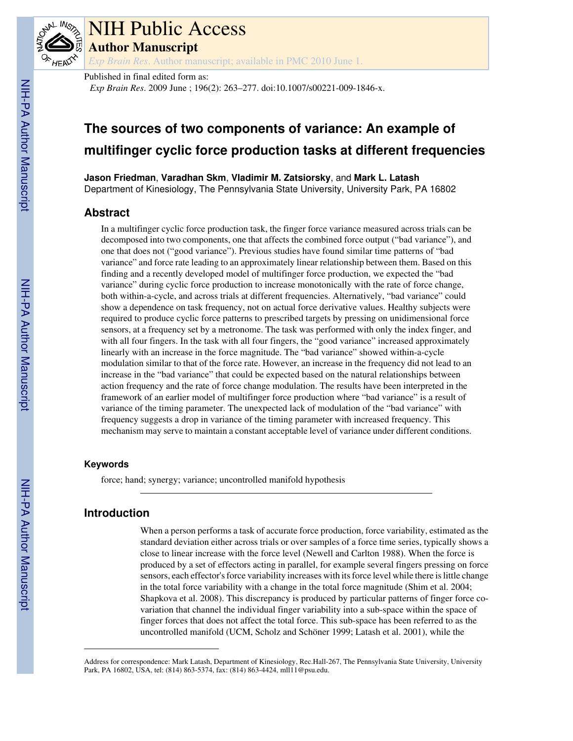

# NIH Public Access

**Author Manuscript**

*Exp Brain Res*. Author manuscript; available in PMC 2010 June 1.

Published in final edited form as: *Exp Brain Res*. 2009 June ; 196(2): 263–277. doi:10.1007/s00221-009-1846-x.

# **The sources of two components of variance: An example of multifinger cyclic force production tasks at different frequencies**

**Jason Friedman**, **Varadhan Skm**, **Vladimir M. Zatsiorsky**, and **Mark L. Latash** Department of Kinesiology, The Pennsylvania State University, University Park, PA 16802

# **Abstract**

In a multifinger cyclic force production task, the finger force variance measured across trials can be decomposed into two components, one that affects the combined force output ("bad variance"), and one that does not ("good variance"). Previous studies have found similar time patterns of "bad variance" and force rate leading to an approximately linear relationship between them. Based on this finding and a recently developed model of multifinger force production, we expected the "bad variance" during cyclic force production to increase monotonically with the rate of force change, both within-a-cycle, and across trials at different frequencies. Alternatively, "bad variance" could show a dependence on task frequency, not on actual force derivative values. Healthy subjects were required to produce cyclic force patterns to prescribed targets by pressing on unidimensional force sensors, at a frequency set by a metronome. The task was performed with only the index finger, and with all four fingers. In the task with all four fingers, the "good variance" increased approximately linearly with an increase in the force magnitude. The "bad variance" showed within-a-cycle modulation similar to that of the force rate. However, an increase in the frequency did not lead to an increase in the "bad variance" that could be expected based on the natural relationships between action frequency and the rate of force change modulation. The results have been interpreted in the framework of an earlier model of multifinger force production where "bad variance" is a result of variance of the timing parameter. The unexpected lack of modulation of the "bad variance" with frequency suggests a drop in variance of the timing parameter with increased frequency. This mechanism may serve to maintain a constant acceptable level of variance under different conditions.

# **Keywords**

force; hand; synergy; variance; uncontrolled manifold hypothesis

# **Introduction**

When a person performs a task of accurate force production, force variability, estimated as the standard deviation either across trials or over samples of a force time series, typically shows a close to linear increase with the force level (Newell and Carlton 1988). When the force is produced by a set of effectors acting in parallel, for example several fingers pressing on force sensors, each effector's force variability increases with its force level while there is little change in the total force variability with a change in the total force magnitude (Shim et al. 2004; Shapkova et al. 2008). This discrepancy is produced by particular patterns of finger force covariation that channel the individual finger variability into a sub-space within the space of finger forces that does not affect the total force. This sub-space has been referred to as the uncontrolled manifold (UCM, Scholz and Schöner 1999; Latash et al. 2001), while the

Address for correspondence: Mark Latash, Department of Kinesiology, Rec.Hall-267, The Pennsylvania State University, University Park, PA 16802, USA, tel: (814) 863-5374, fax: (814) 863-4424, mll11@psu.edu.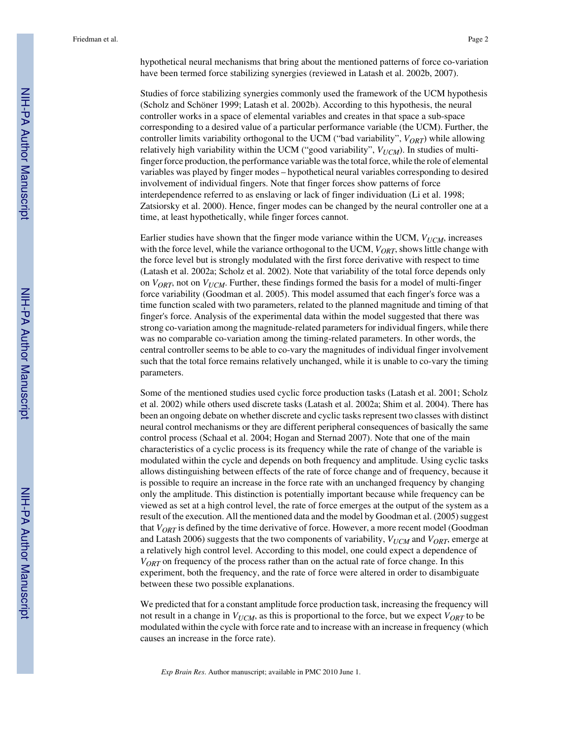hypothetical neural mechanisms that bring about the mentioned patterns of force co-variation have been termed force stabilizing synergies (reviewed in Latash et al. 2002b, 2007).

Studies of force stabilizing synergies commonly used the framework of the UCM hypothesis (Scholz and Schöner 1999; Latash et al. 2002b). According to this hypothesis, the neural controller works in a space of elemental variables and creates in that space a sub-space corresponding to a desired value of a particular performance variable (the UCM). Further, the controller limits variability orthogonal to the UCM ("bad variability", *VORT*) while allowing relatively high variability within the UCM ("good variability",  $V_{UCM}$ ). In studies of multifinger force production, the performance variable was the total force, while the role of elemental variables was played by finger modes – hypothetical neural variables corresponding to desired involvement of individual fingers. Note that finger forces show patterns of force interdependence referred to as enslaving or lack of finger individuation (Li et al. 1998; Zatsiorsky et al. 2000). Hence, finger modes can be changed by the neural controller one at a time, at least hypothetically, while finger forces cannot.

Earlier studies have shown that the finger mode variance within the UCM, *VUCM*, increases with the force level, while the variance orthogonal to the UCM, *VORT*, shows little change with the force level but is strongly modulated with the first force derivative with respect to time (Latash et al. 2002a; Scholz et al. 2002). Note that variability of the total force depends only on *VORT*, not on *VUCM*. Further, these findings formed the basis for a model of multi-finger force variability (Goodman et al. 2005). This model assumed that each finger's force was a time function scaled with two parameters, related to the planned magnitude and timing of that finger's force. Analysis of the experimental data within the model suggested that there was strong co-variation among the magnitude-related parameters for individual fingers, while there was no comparable co-variation among the timing-related parameters. In other words, the central controller seems to be able to co-vary the magnitudes of individual finger involvement such that the total force remains relatively unchanged, while it is unable to co-vary the timing parameters.

Some of the mentioned studies used cyclic force production tasks (Latash et al. 2001; Scholz et al. 2002) while others used discrete tasks (Latash et al. 2002a; Shim et al. 2004). There has been an ongoing debate on whether discrete and cyclic tasks represent two classes with distinct neural control mechanisms or they are different peripheral consequences of basically the same control process (Schaal et al. 2004; Hogan and Sternad 2007). Note that one of the main characteristics of a cyclic process is its frequency while the rate of change of the variable is modulated within the cycle and depends on both frequency and amplitude. Using cyclic tasks allows distinguishing between effects of the rate of force change and of frequency, because it is possible to require an increase in the force rate with an unchanged frequency by changing only the amplitude. This distinction is potentially important because while frequency can be viewed as set at a high control level, the rate of force emerges at the output of the system as a result of the execution. All the mentioned data and the model by Goodman et al. (2005) suggest that *VORT* is defined by the time derivative of force. However, a more recent model (Goodman and Latash 2006) suggests that the two components of variability, *VUCM* and *VORT*, emerge at a relatively high control level. According to this model, one could expect a dependence of *VORT* on frequency of the process rather than on the actual rate of force change. In this experiment, both the frequency, and the rate of force were altered in order to disambiguate between these two possible explanations.

We predicted that for a constant amplitude force production task, increasing the frequency will not result in a change in *VUCM*, as this is proportional to the force, but we expect *VORT* to be modulated within the cycle with force rate and to increase with an increase in frequency (which causes an increase in the force rate).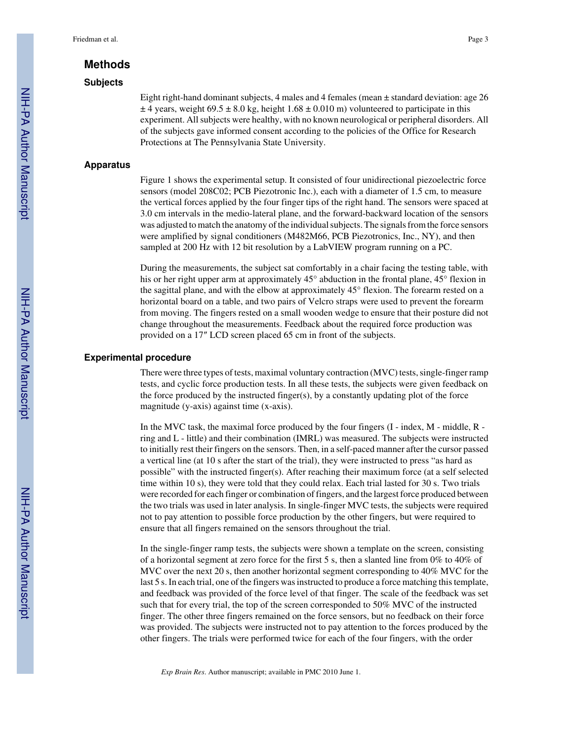# **Methods**

#### **Subjects**

Eight right-hand dominant subjects, 4 males and 4 females (mean ± standard deviation: age 26  $\pm$  4 years, weight 69.5  $\pm$  8.0 kg, height 1.68  $\pm$  0.010 m) volunteered to participate in this experiment. All subjects were healthy, with no known neurological or peripheral disorders. All of the subjects gave informed consent according to the policies of the Office for Research Protections at The Pennsylvania State University.

## **Apparatus**

Figure 1 shows the experimental setup. It consisted of four unidirectional piezoelectric force sensors (model 208C02; PCB Piezotronic Inc.), each with a diameter of 1.5 cm, to measure the vertical forces applied by the four finger tips of the right hand. The sensors were spaced at 3.0 cm intervals in the medio-lateral plane, and the forward-backward location of the sensors was adjusted to match the anatomy of the individual subjects. The signals from the force sensors were amplified by signal conditioners (M482M66, PCB Piezotronics, Inc., NY), and then sampled at 200 Hz with 12 bit resolution by a LabVIEW program running on a PC.

During the measurements, the subject sat comfortably in a chair facing the testing table, with his or her right upper arm at approximately 45° abduction in the frontal plane, 45° flexion in the sagittal plane, and with the elbow at approximately 45° flexion. The forearm rested on a horizontal board on a table, and two pairs of Velcro straps were used to prevent the forearm from moving. The fingers rested on a small wooden wedge to ensure that their posture did not change throughout the measurements. Feedback about the required force production was provided on a 17″ LCD screen placed 65 cm in front of the subjects.

#### **Experimental procedure**

There were three types of tests, maximal voluntary contraction (MVC) tests, single-finger ramp tests, and cyclic force production tests. In all these tests, the subjects were given feedback on the force produced by the instructed finger(s), by a constantly updating plot of the force magnitude (y-axis) against time (x-axis).

In the MVC task, the maximal force produced by the four fingers  $(I - index, M - middle, R$ ring and L - little) and their combination (IMRL) was measured. The subjects were instructed to initially rest their fingers on the sensors. Then, in a self-paced manner after the cursor passed a vertical line (at 10 s after the start of the trial), they were instructed to press "as hard as possible" with the instructed finger(s). After reaching their maximum force (at a self selected time within 10 s), they were told that they could relax. Each trial lasted for 30 s. Two trials were recorded for each finger or combination of fingers, and the largest force produced between the two trials was used in later analysis. In single-finger MVC tests, the subjects were required not to pay attention to possible force production by the other fingers, but were required to ensure that all fingers remained on the sensors throughout the trial.

In the single-finger ramp tests, the subjects were shown a template on the screen, consisting of a horizontal segment at zero force for the first 5 s, then a slanted line from 0% to 40% of MVC over the next 20 s, then another horizontal segment corresponding to 40% MVC for the last 5 s. In each trial, one of the fingers was instructed to produce a force matching this template, and feedback was provided of the force level of that finger. The scale of the feedback was set such that for every trial, the top of the screen corresponded to 50% MVC of the instructed finger. The other three fingers remained on the force sensors, but no feedback on their force was provided. The subjects were instructed not to pay attention to the forces produced by the other fingers. The trials were performed twice for each of the four fingers, with the order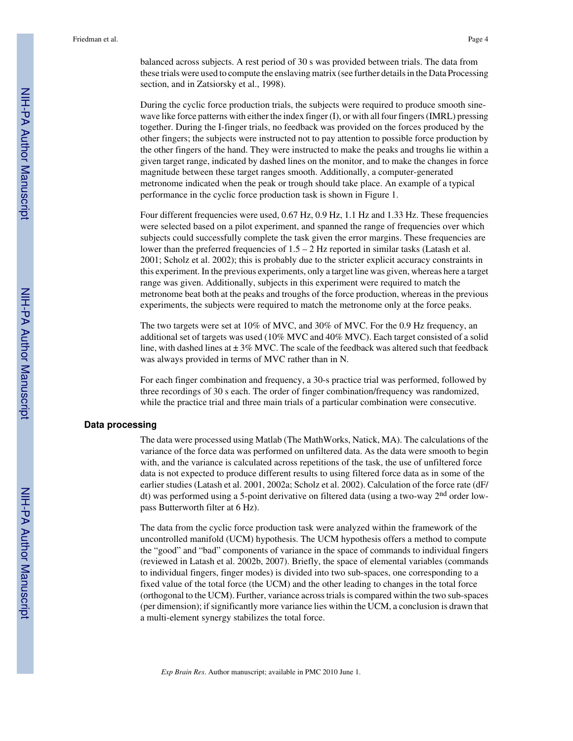balanced across subjects. A rest period of 30 s was provided between trials. The data from these trials were used to compute the enslaving matrix (see further details in the Data Processing section, and in Zatsiorsky et al., 1998).

During the cyclic force production trials, the subjects were required to produce smooth sinewave like force patterns with either the index finger (I), or with all four fingers (IMRL) pressing together. During the I-finger trials, no feedback was provided on the forces produced by the other fingers; the subjects were instructed not to pay attention to possible force production by the other fingers of the hand. They were instructed to make the peaks and troughs lie within a given target range, indicated by dashed lines on the monitor, and to make the changes in force magnitude between these target ranges smooth. Additionally, a computer-generated metronome indicated when the peak or trough should take place. An example of a typical performance in the cyclic force production task is shown in Figure 1.

Four different frequencies were used, 0.67 Hz, 0.9 Hz, 1.1 Hz and 1.33 Hz. These frequencies were selected based on a pilot experiment, and spanned the range of frequencies over which subjects could successfully complete the task given the error margins. These frequencies are lower than the preferred frequencies of 1.5 – 2 Hz reported in similar tasks (Latash et al. 2001; Scholz et al. 2002); this is probably due to the stricter explicit accuracy constraints in this experiment. In the previous experiments, only a target line was given, whereas here a target range was given. Additionally, subjects in this experiment were required to match the metronome beat both at the peaks and troughs of the force production, whereas in the previous experiments, the subjects were required to match the metronome only at the force peaks.

The two targets were set at 10% of MVC, and 30% of MVC. For the 0.9 Hz frequency, an additional set of targets was used (10% MVC and 40% MVC). Each target consisted of a solid line, with dashed lines at  $\pm$  3% MVC. The scale of the feedback was altered such that feedback was always provided in terms of MVC rather than in N.

For each finger combination and frequency, a 30-s practice trial was performed, followed by three recordings of 30 s each. The order of finger combination/frequency was randomized, while the practice trial and three main trials of a particular combination were consecutive.

#### **Data processing**

The data were processed using Matlab (The MathWorks, Natick, MA). The calculations of the variance of the force data was performed on unfiltered data. As the data were smooth to begin with, and the variance is calculated across repetitions of the task, the use of unfiltered force data is not expected to produce different results to using filtered force data as in some of the earlier studies (Latash et al. 2001, 2002a; Scholz et al. 2002). Calculation of the force rate (dF/ dt) was performed using a 5-point derivative on filtered data (using a two-way 2nd order lowpass Butterworth filter at 6 Hz).

The data from the cyclic force production task were analyzed within the framework of the uncontrolled manifold (UCM) hypothesis. The UCM hypothesis offers a method to compute the "good" and "bad" components of variance in the space of commands to individual fingers (reviewed in Latash et al. 2002b, 2007). Briefly, the space of elemental variables (commands to individual fingers, finger modes) is divided into two sub-spaces, one corresponding to a fixed value of the total force (the UCM) and the other leading to changes in the total force (orthogonal to the UCM). Further, variance across trials is compared within the two sub-spaces (per dimension); if significantly more variance lies within the UCM, a conclusion is drawn that a multi-element synergy stabilizes the total force.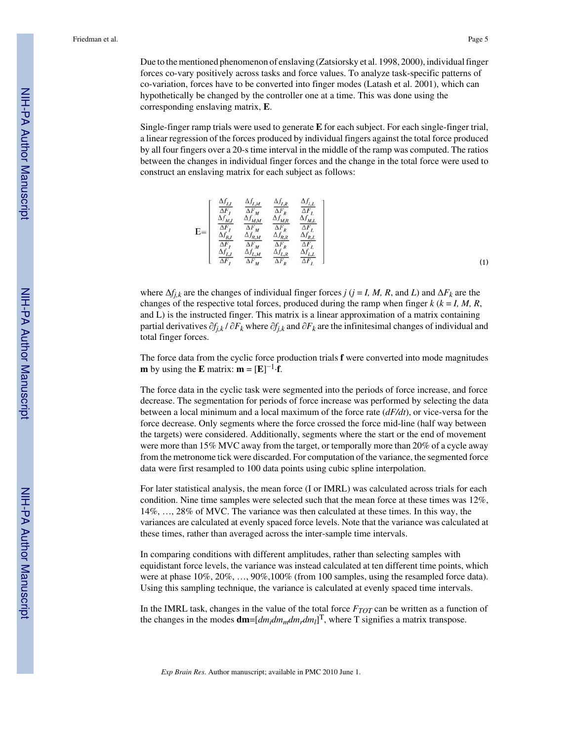Due to the mentioned phenomenon of enslaving (Zatsiorsky et al. 1998, 2000), individual finger forces co-vary positively across tasks and force values. To analyze task-specific patterns of co-variation, forces have to be converted into finger modes (Latash et al. 2001), which can hypothetically be changed by the controller one at a time. This was done using the corresponding enslaving matrix, **E**.

Single-finger ramp trials were used to generate **E** for each subject. For each single-finger trial, a linear regression of the forces produced by individual fingers against the total force produced by all four fingers over a 20-s time interval in the middle of the ramp was computed. The ratios between the changes in individual finger forces and the change in the total force were used to construct an enslaving matrix for each subject as follows:

$$
E = \begin{bmatrix} \frac{\Delta f_{I,J}}{\Delta F_I} & \frac{\Delta f_{I,M}}{\Delta F_N} & \frac{\Delta f_{I,R}}{\Delta F_R} & \frac{\Delta f_{I,L}}{\Delta F_L} \\ \frac{\Delta f_{M,I}}{\Delta F_I} & \frac{\Delta f_{M,M}}{\Delta F_N} & \frac{\Delta f_{M,R}}{\Delta F_R} & \frac{\Delta f_{M,L}}{\Delta F_L} \\ \frac{\Delta f_{R,I}}{\Delta F_I} & \frac{\Delta f_{R,M}}{\Delta F_N} & \frac{\Delta f_{R,R}}{\Delta F_R} & \frac{\Delta f_{R,L}}{\Delta F_L} \\ \frac{\Delta f_{L,J}}{\Delta F_I} & \frac{\Delta f_{L,M}}{\Delta F_M} & \frac{\Delta f_{L,R}}{\Delta F_R} & \frac{\Delta f_{L,L}}{\Delta F_L} \end{bmatrix}
$$
(1)

where  $\Delta f_{j,k}$  are the changes of individual finger forces *j* (*j* = *I*, *M*, *R*, and *L*) and  $\Delta F_k$  are the changes of the respective total forces, produced during the ramp when finger  $k$  ( $k = I, M, R$ , and L) is the instructed finger. This matrix is a linear approximation of a matrix containing partial derivatives  $\partial f_{j,k}$  /  $\partial F_k$  where  $\partial f_{j,k}$  and  $\partial F_k$  are the infinitesimal changes of individual and total finger forces.

The force data from the cyclic force production trials **f** were converted into mode magnitudes **m** by using the **E** matrix:  $\mathbf{m} = [\mathbf{E}]^{-1} \cdot \mathbf{f}$ .

The force data in the cyclic task were segmented into the periods of force increase, and force decrease. The segmentation for periods of force increase was performed by selecting the data between a local minimum and a local maximum of the force rate (*dF/dt*), or vice-versa for the force decrease. Only segments where the force crossed the force mid-line (half way between the targets) were considered. Additionally, segments where the start or the end of movement were more than 15% MVC away from the target, or temporally more than 20% of a cycle away from the metronome tick were discarded. For computation of the variance, the segmented force data were first resampled to 100 data points using cubic spline interpolation.

For later statistical analysis, the mean force (I or IMRL) was calculated across trials for each condition. Nine time samples were selected such that the mean force at these times was 12%, 14%, …, 28% of MVC. The variance was then calculated at these times. In this way, the variances are calculated at evenly spaced force levels. Note that the variance was calculated at these times, rather than averaged across the inter-sample time intervals.

In comparing conditions with different amplitudes, rather than selecting samples with equidistant force levels, the variance was instead calculated at ten different time points, which were at phase  $10\%, 20\%, \ldots, 90\%, 100\%$  (from 100 samples, using the resampled force data). Using this sampling technique, the variance is calculated at evenly spaced time intervals.

In the IMRL task, changes in the value of the total force  $F_{TOT}$  can be written as a function of the changes in the modes  $dm=[dm_idm_ndm_idm_l]^T$ , where T signifies a matrix transpose.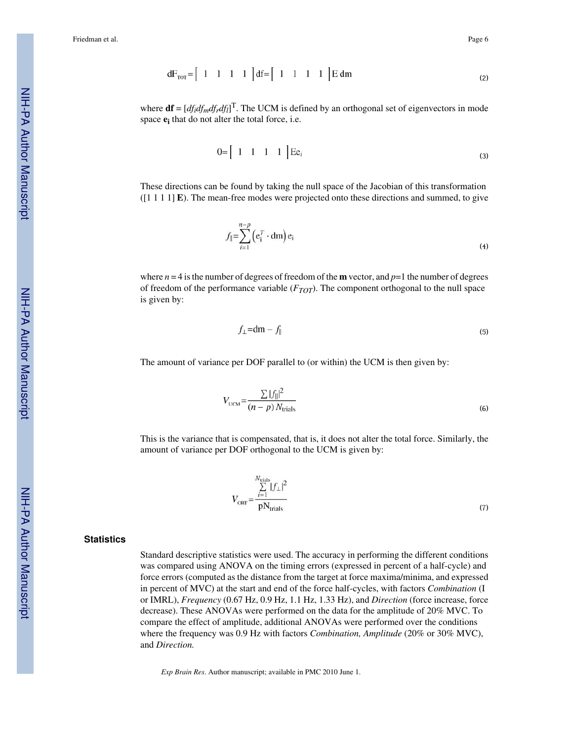$$
dF_{\text{TOT}} = \begin{bmatrix} 1 & 1 & 1 & 1 \end{bmatrix} df = \begin{bmatrix} 1 & 1 & 1 & 1 \end{bmatrix} E dm \tag{2}
$$

where  $df = [df_i df_m df_l df_l]^T$ . The UCM is defined by an orthogonal set of eigenvectors in mode space  $e_i$  that do not alter the total force, i.e.

$$
0 = \begin{bmatrix} 1 & 1 & 1 & 1 \end{bmatrix} \text{E}e_i \tag{3}
$$

These directions can be found by taking the null space of the Jacobian of this transformation ([1 1 1 1] **E**). The mean-free modes were projected onto these directions and summed, to give

$$
f_{\parallel} = \sum_{i=1}^{n-p} \left( e_i^T \cdot dm \right) e_i \tag{4}
$$

where  $n = 4$  is the number of degrees of freedom of the **m** vector, and  $p=1$  the number of degrees of freedom of the performance variable (*FTOT*). The component orthogonal to the null space is given by:

$$
f_{\perp} = dm - f_{\parallel} \tag{5}
$$

The amount of variance per DOF parallel to (or within) the UCM is then given by:

$$
V_{\text{UCM}} = \frac{\sum |f_{\parallel}|^2}{(n-p) N_{\text{trials}}}
$$
(6)

This is the variance that is compensated, that is, it does not alter the total force. Similarly, the amount of variance per DOF orthogonal to the UCM is given by:

$$
V_{\text{ORT}} = \frac{\sum_{i=1}^{N_{\text{trials}}} |f_{\perp}|^2}{pN_{\text{trials}}}
$$
\n(7)

# **Statistics**

Standard descriptive statistics were used. The accuracy in performing the different conditions was compared using ANOVA on the timing errors (expressed in percent of a half-cycle) and force errors (computed as the distance from the target at force maxima/minima, and expressed in percent of MVC) at the start and end of the force half-cycles, with factors *Combination* (I or IMRL), *Frequency* (0.67 Hz, 0.9 Hz, 1.1 Hz, 1.33 Hz), and *Direction* (force increase, force decrease). These ANOVAs were performed on the data for the amplitude of 20% MVC. To compare the effect of amplitude, additional ANOVAs were performed over the conditions where the frequency was 0.9 Hz with factors *Combination, Amplitude* (20% or 30% MVC), and *Direction.*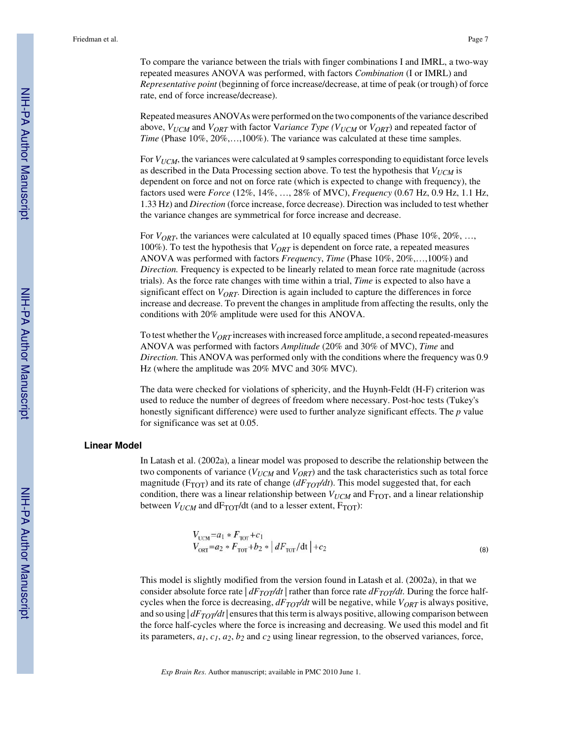To compare the variance between the trials with finger combinations I and IMRL, a two-way repeated measures ANOVA was performed, with factors *Combination* (I or IMRL) and *Representative point* (beginning of force increase/decrease, at time of peak (or trough) of force rate, end of force increase/decrease).

Repeated measures ANOVAs were performed on the two components of the variance described above, *VUCM* and *VORT* with factor V*ariance Type (VUCM* or *VORT*) and repeated factor of *Time* (Phase 10%, 20%,…,100%). The variance was calculated at these time samples.

For *VUCM*, the variances were calculated at 9 samples corresponding to equidistant force levels as described in the Data Processing section above. To test the hypothesis that  $V_{UCM}$  is dependent on force and not on force rate (which is expected to change with frequency), the factors used were *Force* (12%, 14%, …, 28% of MVC), *Frequency* (0.67 Hz, 0.9 Hz, 1.1 Hz, 1.33 Hz) and *Direction* (force increase, force decrease). Direction was included to test whether the variance changes are symmetrical for force increase and decrease.

For *VORT*, the variances were calculated at 10 equally spaced times (Phase 10%, 20%, …, 100%). To test the hypothesis that *VORT* is dependent on force rate, a repeated measures ANOVA was performed with factors *Frequency*, *Time* (Phase 10%, 20%,…,100%) and *Direction.* Frequency is expected to be linearly related to mean force rate magnitude (across trials). As the force rate changes with time within a trial, *Time* is expected to also have a significant effect on *VORT*. Direction is again included to capture the differences in force increase and decrease. To prevent the changes in amplitude from affecting the results, only the conditions with 20% amplitude were used for this ANOVA.

To test whether the *VORT* increases with increased force amplitude, a second repeated-measures ANOVA was performed with factors *Amplitude* (20% and 30% of MVC), *Time* and *Direction.* This ANOVA was performed only with the conditions where the frequency was 0.9 Hz (where the amplitude was 20% MVC and 30% MVC).

The data were checked for violations of sphericity, and the Huynh-Feldt (H-F) criterion was used to reduce the number of degrees of freedom where necessary. Post-hoc tests (Tukey's honestly significant difference) were used to further analyze significant effects. The *p* value for significance was set at 0.05.

#### **Linear Model**

In Latash et al. (2002a), a linear model was proposed to describe the relationship between the two components of variance (*VUCM* and *VORT*) and the task characteristics such as total force magnitude ( $F_{TOT}$ ) and its rate of change ( $dF_{TOT}/dt$ ). This model suggested that, for each condition, there was a linear relationship between  $V_{UCM}$  and  $F_{TOT}$ , and a linear relationship between  $V_{UCM}$  and  $dF_{TOT}/dt$  (and to a lesser extent,  $F_{TOT}$ ):

$$
V_{\text{UCM}} = a_1 * F_{\text{TOT}} + c_1
$$
  
\n
$$
V_{\text{ORT}} = a_2 * F_{\text{TOT}} + b_2 * |dF_{\text{TOT}}/dt| + c_2
$$
 (8)

This model is slightly modified from the version found in Latash et al. (2002a), in that we consider absolute force rate | *dFTOT/dt* | rather than force rate *dFTOT/dt.* During the force halfcycles when the force is decreasing, *dFTOT/dt* will be negative, while *VORT* is always positive, and so using  $dF_{TOT}/dt$  ensures that this term is always positive, allowing comparison between the force half-cycles where the force is increasing and decreasing. We used this model and fit its parameters, *a1*, *c1*, *a2*, *b2* and *c2* using linear regression, to the observed variances, force,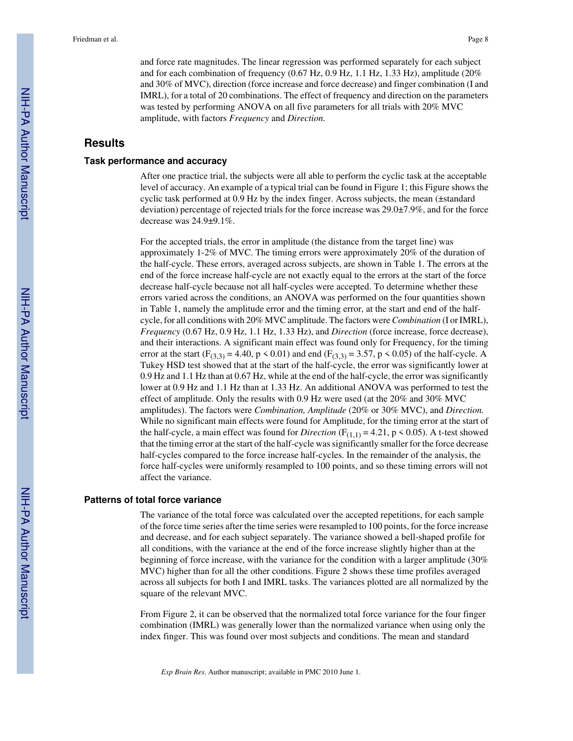and force rate magnitudes. The linear regression was performed separately for each subject and for each combination of frequency (0.67 Hz, 0.9 Hz, 1.1 Hz, 1.33 Hz), amplitude (20% and 30% of MVC), direction (force increase and force decrease) and finger combination (I and IMRL), for a total of 20 combinations. The effect of frequency and direction on the parameters was tested by performing ANOVA on all five parameters for all trials with 20% MVC amplitude, with factors *Frequency* and *Direction.*

# **Results**

#### **Task performance and accuracy**

After one practice trial, the subjects were all able to perform the cyclic task at the acceptable level of accuracy. An example of a typical trial can be found in Figure 1; this Figure shows the cyclic task performed at 0.9 Hz by the index finger. Across subjects, the mean (±standard deviation) percentage of rejected trials for the force increase was 29.0±7.9%, and for the force decrease was 24.9±9.1%.

For the accepted trials, the error in amplitude (the distance from the target line) was approximately 1-2% of MVC. The timing errors were approximately 20% of the duration of the half-cycle. These errors, averaged across subjects, are shown in Table 1. The errors at the end of the force increase half-cycle are not exactly equal to the errors at the start of the force decrease half-cycle because not all half-cycles were accepted. To determine whether these errors varied across the conditions, an ANOVA was performed on the four quantities shown in Table 1, namely the amplitude error and the timing error, at the start and end of the halfcycle, for all conditions with 20% MVC amplitude. The factors were *Combination* (I or IMRL), *Frequency* (0.67 Hz, 0.9 Hz, 1.1 Hz, 1.33 Hz), and *Direction* (force increase, force decrease), and their interactions. A significant main effect was found only for Frequency, for the timing error at the start ( $F_{(3,3)} = 4.40$ ,  $p \le 0.01$ ) and end ( $F_{(3,3)} = 3.57$ ,  $p \le 0.05$ ) of the half-cycle. A Tukey HSD test showed that at the start of the half-cycle, the error was significantly lower at 0.9 Hz and 1.1 Hz than at 0.67 Hz, while at the end of the half-cycle, the error was significantly lower at 0.9 Hz and 1.1 Hz than at 1.33 Hz. An additional ANOVA was performed to test the effect of amplitude. Only the results with 0.9 Hz were used (at the 20% and 30% MVC amplitudes). The factors were *Combination, Amplitude* (20% or 30% MVC), and *Direction.* While no significant main effects were found for Amplitude, for the timing error at the start of the half-cycle, a main effect was found for *Direction* ( $F_{(1,1)} = 4.21$ ,  $p \le 0.05$ ). A t-test showed that the timing error at the start of the half-cycle was significantly smaller for the force decrease half-cycles compared to the force increase half-cycles. In the remainder of the analysis, the force half-cycles were uniformly resampled to 100 points, and so these timing errors will not affect the variance.

#### **Patterns of total force variance**

The variance of the total force was calculated over the accepted repetitions, for each sample of the force time series after the time series were resampled to 100 points, for the force increase and decrease, and for each subject separately. The variance showed a bell-shaped profile for all conditions, with the variance at the end of the force increase slightly higher than at the beginning of force increase, with the variance for the condition with a larger amplitude (30% MVC) higher than for all the other conditions. Figure 2 shows these time profiles averaged across all subjects for both I and IMRL tasks. The variances plotted are all normalized by the square of the relevant MVC.

From Figure 2, it can be observed that the normalized total force variance for the four finger combination (IMRL) was generally lower than the normalized variance when using only the index finger. This was found over most subjects and conditions. The mean and standard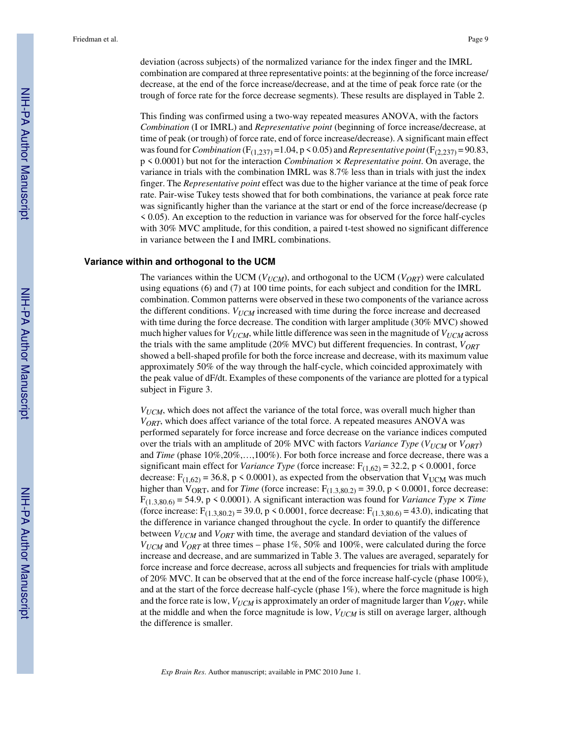deviation (across subjects) of the normalized variance for the index finger and the IMRL combination are compared at three representative points: at the beginning of the force increase/ decrease, at the end of the force increase/decrease, and at the time of peak force rate (or the trough of force rate for the force decrease segments). These results are displayed in Table 2.

This finding was confirmed using a two-way repeated measures ANOVA, with the factors *Combination* (I or IMRL) and *Representative point* (beginning of force increase/decrease, at time of peak (or trough) of force rate, end of force increase/decrease). A significant main effect was found for *Combination* ( $F_{(1,237)} = 1.04$ ,  $p \le 0.05$ ) and *Representative point* ( $F_{(2,237)} = 90.83$ , p < 0.0001) but not for the interaction *Combination × Representative point*. On average, the variance in trials with the combination IMRL was 8.7% less than in trials with just the index finger. The *Representative point* effect was due to the higher variance at the time of peak force rate. Pair-wise Tukey tests showed that for both combinations, the variance at peak force rate was significantly higher than the variance at the start or end of the force increase/decrease (p < 0.05). An exception to the reduction in variance was for observed for the force half-cycles with 30% MVC amplitude, for this condition, a paired t-test showed no significant difference in variance between the I and IMRL combinations.

#### **Variance within and orthogonal to the UCM**

The variances within the UCM ( $V_{UCM}$ ), and orthogonal to the UCM ( $V_{ORT}$ ) were calculated using equations (6) and (7) at 100 time points, for each subject and condition for the IMRL combination. Common patterns were observed in these two components of the variance across the different conditions.  $V_{UCM}$  increased with time during the force increase and decreased with time during the force decrease. The condition with larger amplitude (30% MVC) showed much higher values for *VUCM*, while little difference was seen in the magnitude of *VUCM* across the trials with the same amplitude (20% MVC) but different frequencies. In contrast, *VORT* showed a bell-shaped profile for both the force increase and decrease, with its maximum value approximately 50% of the way through the half-cycle, which coincided approximately with the peak value of dF/dt. Examples of these components of the variance are plotted for a typical subject in Figure 3.

 $V_{UCM}$ , which does not affect the variance of the total force, was overall much higher than *VORT*, which does affect variance of the total force. A repeated measures ANOVA was performed separately for force increase and force decrease on the variance indices computed over the trials with an amplitude of 20% MVC with factors *Variance Type* ( $V_{UCM}$  or  $V_{ORT}$ ) and *Time* (phase 10%,20%,…,100%). For both force increase and force decrease, there was a significant main effect for *Variance Type* (force increase:  $F_{(1,62)} = 32.2$ , p < 0.0001, force decrease:  $F_{(1,62)} = 36.8$ , p < 0.0001), as expected from the observation that  $V_{UCM}$  was much higher than  $V_{\text{ORT}}$ , and for *Time* (force increase:  $F_{(1,3,80.2)} = 39.0$ , p < 0.0001, force decrease:  $F_{(1,3,80.6)} = 54.9$ , p < 0.0001). A significant interaction was found for *Variance Type*  $\times$  *Time* (force increase:  $F_{(1,3,80.2)} = 39.0$ , p < 0.0001, force decrease:  $F_{(1,3,80.6)} = 43.0$ ), indicating that the difference in variance changed throughout the cycle. In order to quantify the difference between *VUCM* and *VORT* with time, the average and standard deviation of the values of  $V_{UCM}$  and  $V_{ORT}$  at three times – phase 1%, 50% and 100%, were calculated during the force increase and decrease, and are summarized in Table 3. The values are averaged, separately for force increase and force decrease, across all subjects and frequencies for trials with amplitude of 20% MVC. It can be observed that at the end of the force increase half-cycle (phase 100%), and at the start of the force decrease half-cycle (phase 1%), where the force magnitude is high and the force rate is low,  $V_{UCM}$  is approximately an order of magnitude larger than  $V_{ORT}$ , while at the middle and when the force magnitude is low,  $V_{UCM}$  is still on average larger, although the difference is smaller.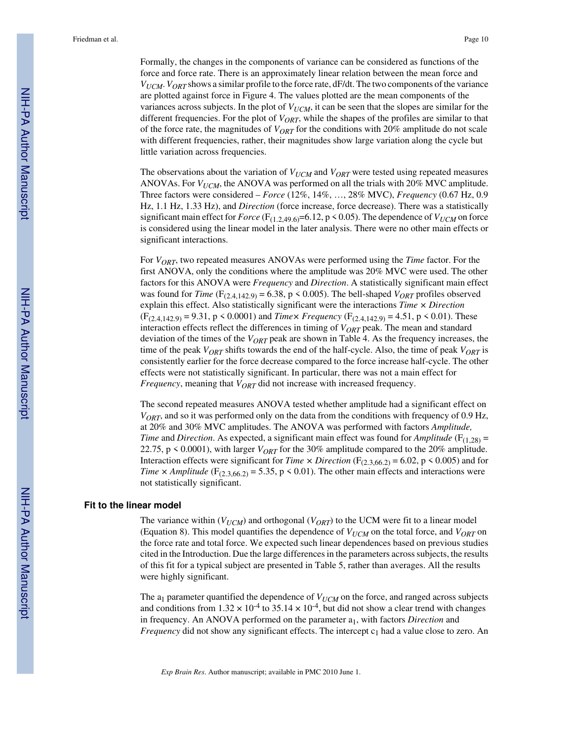Formally, the changes in the components of variance can be considered as functions of the force and force rate. There is an approximately linear relation between the mean force and *VUCM*. *VORT* shows a similar profile to the force rate, dF/dt. The two components of the variance are plotted against force in Figure 4. The values plotted are the mean components of the variances across subjects. In the plot of  $V_{UCM}$ , it can be seen that the slopes are similar for the different frequencies. For the plot of *VORT*, while the shapes of the profiles are similar to that of the force rate, the magnitudes of  $V_{ORT}$  for the conditions with 20% amplitude do not scale with different frequencies, rather, their magnitudes show large variation along the cycle but little variation across frequencies.

The observations about the variation of *VUCM* and *VORT* were tested using repeated measures ANOVAs. For *VUCM*, the ANOVA was performed on all the trials with 20% MVC amplitude. Three factors were considered – *Force* (12%, 14%, …, 28% MVC), *Frequency* (0.67 Hz, 0.9 Hz, 1.1 Hz, 1.33 Hz), and *Direction* (force increase, force decrease). There was a statistically significant main effect for *Force* ( $F_{(1.2,49,6)} = 6.12$ ,  $p \le 0.05$ ). The dependence of  $V_{UCM}$  on force is considered using the linear model in the later analysis. There were no other main effects or significant interactions.

For *VORT*, two repeated measures ANOVAs were performed using the *Time* factor. For the first ANOVA, only the conditions where the amplitude was 20% MVC were used. The other factors for this ANOVA were *Frequency* and *Direction*. A statistically significant main effect was found for *Time* ( $F_{(2,4,142,9)} = 6.38$ ,  $p \le 0.005$ ). The bell-shaped  $V_{ORT}$  profiles observed explain this effect. Also statistically significant were the interactions *Time × Direction*  $(F_{(2,4,142,9)} = 9.31, p \le 0.0001)$  and *Timex Frequency*  $(F_{(2,4,142,9)} = 4.51, p \le 0.01)$ . These interaction effects reflect the differences in timing of *VORT* peak. The mean and standard deviation of the times of the *VORT* peak are shown in Table 4. As the frequency increases, the time of the peak  $V_{ORT}$  shifts towards the end of the half-cycle. Also, the time of peak  $V_{ORT}$  is consistently earlier for the force decrease compared to the force increase half-cycle. The other effects were not statistically significant. In particular, there was not a main effect for *Frequency*, meaning that *VORT* did not increase with increased frequency.

The second repeated measures ANOVA tested whether amplitude had a significant effect on *VORT*, and so it was performed only on the data from the conditions with frequency of 0.9 Hz, at 20% and 30% MVC amplitudes. The ANOVA was performed with factors *Amplitude, Time* and *Direction*. As expected, a significant main effect was found for *Amplitude* ( $F_{(1,28)} =$ 22.75,  $p \le 0.0001$ ), with larger  $V_{ORT}$  for the 30% amplitude compared to the 20% amplitude. Interaction effects were significant for *Time*  $\times$  *Direction* (F<sub>(2.3,66.2)</sub> = 6.02, p < 0.005) and for *Time*  $\times$  *Amplitude* (F<sub>(2.3,66.2) = 5.35, p < 0.01). The other main effects and interactions were</sub> not statistically significant.

#### **Fit to the linear model**

The variance within  $(V_{UCM})$  and orthogonal  $(V_{ORT})$  to the UCM were fit to a linear model (Equation 8). This model quantifies the dependence of *VUCM* on the total force, and *VORT* on the force rate and total force. We expected such linear dependences based on previous studies cited in the Introduction. Due the large differences in the parameters across subjects, the results of this fit for a typical subject are presented in Table 5, rather than averages. All the results were highly significant.

The a<sub>1</sub> parameter quantified the dependence of  $V_{UCM}$  on the force, and ranged across subjects and conditions from  $1.32 \times 10^{-4}$  to  $35.14 \times 10^{-4}$ , but did not show a clear trend with changes in frequency. An ANOVA performed on the parameter  $a_1$ , with factors *Direction* and *Frequency* did not show any significant effects. The intercept  $c_1$  had a value close to zero. An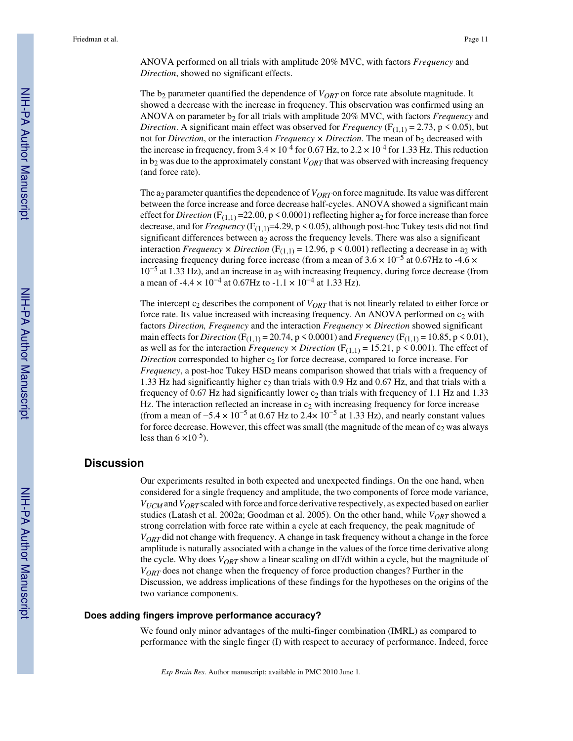ANOVA performed on all trials with amplitude 20% MVC, with factors *Frequency* and *Direction*, showed no significant effects.

The  $b_2$  parameter quantified the dependence of  $V_{ORT}$  on force rate absolute magnitude. It showed a decrease with the increase in frequency. This observation was confirmed using an ANOVA on parameter b<sub>2</sub> for all trials with amplitude 20% MVC, with factors *Frequency* and *Direction*. A significant main effect was observed for *Frequency* ( $F_{(1,1)} = 2.73$ , p < 0.05), but not for *Direction*, or the interaction *Frequency* × *Direction*. The mean of  $b_2$  decreased with the increase in frequency, from  $3.4 \times 10^{-4}$  for  $0.67$  Hz, to  $2.2 \times 10^{-4}$  for 1.33 Hz. This reduction in  $b_2$  was due to the approximately constant  $V_{ORT}$  that was observed with increasing frequency (and force rate).

The  $a_2$  parameter quantifies the dependence of  $V_{ORT}$  on force magnitude. Its value was different between the force increase and force decrease half-cycles. ANOVA showed a significant main effect for *Direction* ( $F_{(1,1)}$  = 22.00, p < 0.0001) reflecting higher  $a_2$  for force increase than force decrease, and for *Frequency* ( $F_{(1,1)}$ =4.29, p < 0.05), although post-hoc Tukey tests did not find significant differences between  $a_2$  across the frequency levels. There was also a significant interaction *Frequency*  $\times$  *Direction* (F<sub>(1,1)</sub> = 12.96, p < 0.001) reflecting a decrease in a<sub>2</sub> with increasing frequency during force increase (from a mean of  $3.6 \times 10^{-5}$  at 0.67Hz to -4.6  $\times$ 10−<sup>5</sup> at 1.33 Hz), and an increase in a2 with increasing frequency, during force decrease (from a mean of -4.4  $\times$  10<sup>-4</sup> at 0.67Hz to -1.1  $\times$  10<sup>-4</sup> at 1.33 Hz).

The intercept  $c_2$  describes the component of  $V_{ORT}$  that is not linearly related to either force or force rate. Its value increased with increasing frequency. An ANOVA performed on  $c<sub>2</sub>$  with factors *Direction, Frequency* and the interaction *Frequency × Direction* showed significant main effects for *Direction* (F<sub>(1,1)</sub> = 20.74, p < 0.0001) and *Frequency* (F<sub>(1,1)</sub> = 10.85, p < 0.01), as well as for the interaction *Frequency*  $\times$  *Direction* ( $F_{(1,1)} = 15.21$ ,  $p \lt 0.001$ ). The effect of *Direction* corresponded to higher  $c_2$  for force decrease, compared to force increase. For *Frequency*, a post-hoc Tukey HSD means comparison showed that trials with a frequency of 1.33 Hz had significantly higher  $c_2$  than trials with 0.9 Hz and 0.67 Hz, and that trials with a frequency of 0.67 Hz had significantly lower  $c_2$  than trials with frequency of 1.1 Hz and 1.33 Hz. The interaction reflected an increase in  $c_2$  with increasing frequency for force increase (from a mean of  $-5.4 \times 10^{-5}$  at 0.67 Hz to 2.4× 10<sup>-5</sup> at 1.33 Hz), and nearly constant values for force decrease. However, this effect was small (the magnitude of the mean of  $c_2$  was always less than  $6 \times 10^{-5}$ ).

# **Discussion**

Our experiments resulted in both expected and unexpected findings. On the one hand, when considered for a single frequency and amplitude, the two components of force mode variance, *VUCM* and *VORT* scaled with force and force derivative respectively, as expected based on earlier studies (Latash et al. 2002a; Goodman et al. 2005). On the other hand, while *VORT* showed a strong correlation with force rate within a cycle at each frequency, the peak magnitude of *VORT* did not change with frequency. A change in task frequency without a change in the force amplitude is naturally associated with a change in the values of the force time derivative along the cycle. Why does *VORT* show a linear scaling on dF/dt within a cycle, but the magnitude of *VORT* does not change when the frequency of force production changes? Further in the Discussion, we address implications of these findings for the hypotheses on the origins of the two variance components.

#### **Does adding fingers improve performance accuracy?**

We found only minor advantages of the multi-finger combination (IMRL) as compared to performance with the single finger (I) with respect to accuracy of performance. Indeed, force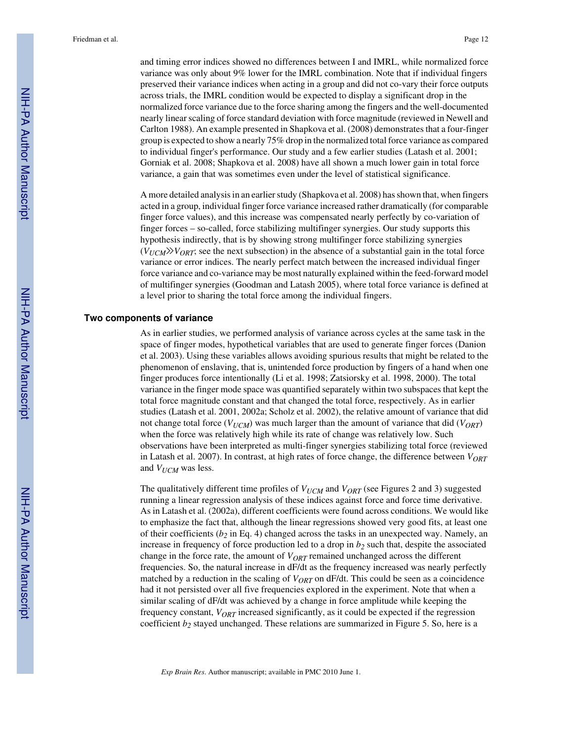and timing error indices showed no differences between I and IMRL, while normalized force variance was only about 9% lower for the IMRL combination. Note that if individual fingers preserved their variance indices when acting in a group and did not co-vary their force outputs across trials, the IMRL condition would be expected to display a significant drop in the normalized force variance due to the force sharing among the fingers and the well-documented nearly linear scaling of force standard deviation with force magnitude (reviewed in Newell and Carlton 1988). An example presented in Shapkova et al. (2008) demonstrates that a four-finger group is expected to show a nearly 75% drop in the normalized total force variance as compared to individual finger's performance. Our study and a few earlier studies (Latash et al. 2001; Gorniak et al. 2008; Shapkova et al. 2008) have all shown a much lower gain in total force variance, a gain that was sometimes even under the level of statistical significance.

A more detailed analysis in an earlier study (Shapkova et al. 2008) has shown that, when fingers acted in a group, individual finger force variance increased rather dramatically (for comparable finger force values), and this increase was compensated nearly perfectly by co-variation of finger forces – so-called, force stabilizing multifinger synergies. Our study supports this hypothesis indirectly, that is by showing strong multifinger force stabilizing synergies  $(V_{UCM})V_{ORT}$ ; see the next subsection) in the absence of a substantial gain in the total force variance or error indices. The nearly perfect match between the increased individual finger force variance and co-variance may be most naturally explained within the feed-forward model of multifinger synergies (Goodman and Latash 2005), where total force variance is defined at a level prior to sharing the total force among the individual fingers.

#### **Two components of variance**

As in earlier studies, we performed analysis of variance across cycles at the same task in the space of finger modes, hypothetical variables that are used to generate finger forces (Danion et al. 2003). Using these variables allows avoiding spurious results that might be related to the phenomenon of enslaving, that is, unintended force production by fingers of a hand when one finger produces force intentionally (Li et al. 1998; Zatsiorsky et al. 1998, 2000). The total variance in the finger mode space was quantified separately within two subspaces that kept the total force magnitude constant and that changed the total force, respectively. As in earlier studies (Latash et al. 2001, 2002a; Scholz et al. 2002), the relative amount of variance that did not change total force  $(V_{UCM})$  was much larger than the amount of variance that did  $(V_{ORT})$ when the force was relatively high while its rate of change was relatively low. Such observations have been interpreted as multi-finger synergies stabilizing total force (reviewed in Latash et al. 2007). In contrast, at high rates of force change, the difference between *VORT* and *VUCM* was less.

The qualitatively different time profiles of  $V_{UCM}$  and  $V_{ORT}$  (see Figures 2 and 3) suggested running a linear regression analysis of these indices against force and force time derivative. As in Latash et al. (2002a), different coefficients were found across conditions. We would like to emphasize the fact that, although the linear regressions showed very good fits, at least one of their coefficients (*b2* in Eq. 4) changed across the tasks in an unexpected way. Namely, an increase in frequency of force production led to a drop in *b2* such that, despite the associated change in the force rate, the amount of *VORT* remained unchanged across the different frequencies. So, the natural increase in dF/dt as the frequency increased was nearly perfectly matched by a reduction in the scaling of *VORT* on dF/dt. This could be seen as a coincidence had it not persisted over all five frequencies explored in the experiment. Note that when a similar scaling of dF/dt was achieved by a change in force amplitude while keeping the frequency constant, *VORT* increased significantly, as it could be expected if the regression coefficient *b2* stayed unchanged. These relations are summarized in Figure 5. So, here is a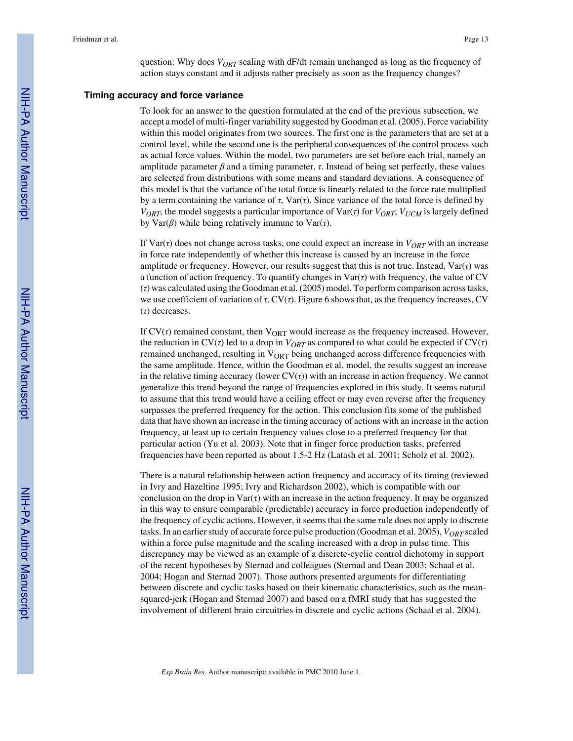question: Why does *VORT* scaling with dF/dt remain unchanged as long as the frequency of action stays constant and it adjusts rather precisely as soon as the frequency changes?

#### **Timing accuracy and force variance**

To look for an answer to the question formulated at the end of the previous subsection, we accept a model of multi-finger variability suggested by Goodman et al. (2005). Force variability within this model originates from two sources. The first one is the parameters that are set at a control level, while the second one is the peripheral consequences of the control process such as actual force values. Within the model, two parameters are set before each trial, namely an amplitude parameter  $\beta$  and a timing parameter,  $\tau$ . Instead of being set perfectly, these values are selected from distributions with some means and standard deviations. A consequence of this model is that the variance of the total force is linearly related to the force rate multiplied by a term containing the variance of *τ*, Var(*τ*). Since variance of the total force is defined by  $V_{ORT}$ , the model suggests a particular importance of  $Var(\tau)$  for  $V_{ORT}$ ;  $V_{UCM}$  is largely defined by Var(*β*) while being relatively immune to Var(*τ*).

If  $Var(\tau)$  does not change across tasks, one could expect an increase in  $V_{ORT}$  with an increase in force rate independently of whether this increase is caused by an increase in the force amplitude or frequency. However, our results suggest that this is not true. Instead,  $Var(\tau)$  was a function of action frequency. To quantify changes in Var(*τ*) with frequency, the value of CV (*τ*) was calculated using the Goodman et al. (2005) model. To perform comparison across tasks, we use coefficient of variation of *τ*,  $CV(τ)$ . Figure 6 shows that, as the frequency increases, CV (*τ*) decreases.

If  $CV(\tau)$  remained constant, then  $V_{ORT}$  would increase as the frequency increased. However, the reduction in  $CV(\tau)$  led to a drop in  $V_{ORT}$  as compared to what could be expected if  $CV(\tau)$ remained unchanged, resulting in  $V_{ORT}$  being unchanged across difference frequencies with the same amplitude. Hence, within the Goodman et al. model, the results suggest an increase in the relative timing accuracy (lower  $CV(\tau)$ ) with an increase in action frequency. We cannot generalize this trend beyond the range of frequencies explored in this study. It seems natural to assume that this trend would have a ceiling effect or may even reverse after the frequency surpasses the preferred frequency for the action. This conclusion fits some of the published data that have shown an increase in the timing accuracy of actions with an increase in the action frequency, at least up to certain frequency values close to a preferred frequency for that particular action (Yu et al. 2003). Note that in finger force production tasks, preferred frequencies have been reported as about 1.5-2 Hz (Latash et al. 2001; Scholz et al. 2002).

There is a natural relationship between action frequency and accuracy of its timing (reviewed in Ivry and Hazeltine 1995; Ivry and Richardson 2002), which is compatible with our conclusion on the drop in  $\text{Var}(\tau)$  with an increase in the action frequency. It may be organized in this way to ensure comparable (predictable) accuracy in force production independently of the frequency of cyclic actions. However, it seems that the same rule does not apply to discrete tasks. In an earlier study of accurate force pulse production (Goodman et al. 2005), *VORT* scaled within a force pulse magnitude and the scaling increased with a drop in pulse time. This discrepancy may be viewed as an example of a discrete-cyclic control dichotomy in support of the recent hypotheses by Sternad and colleagues (Sternad and Dean 2003; Schaal et al. 2004; Hogan and Sternad 2007). Those authors presented arguments for differentiating between discrete and cyclic tasks based on their kinematic characteristics, such as the meansquared-jerk (Hogan and Sternad 2007) and based on a fMRI study that has suggested the involvement of different brain circuitries in discrete and cyclic actions (Schaal et al. 2004).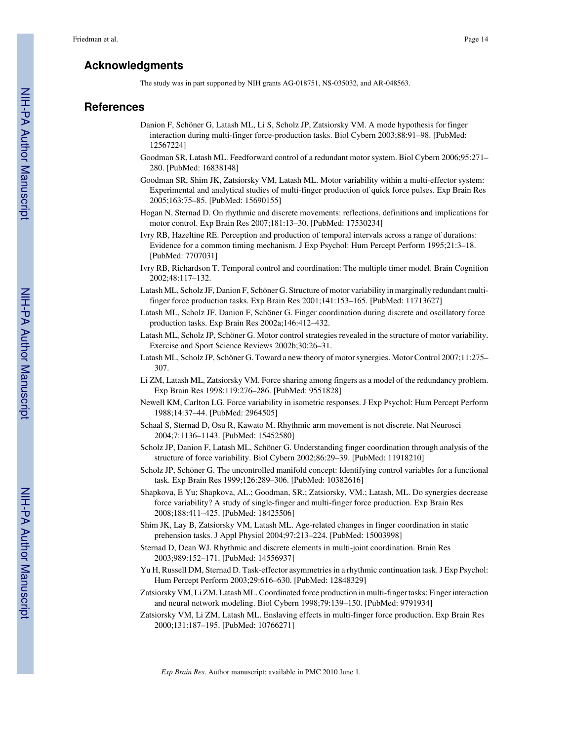The study was in part supported by NIH grants AG-018751, NS-035032, and AR-048563.

# **References**

- Danion F, Schöner G, Latash ML, Li S, Scholz JP, Zatsiorsky VM. A mode hypothesis for finger interaction during multi-finger force-production tasks. Biol Cybern 2003;88:91–98. [PubMed: 12567224]
- Goodman SR, Latash ML. Feedforward control of a redundant motor system. Biol Cybern 2006;95:271– 280. [PubMed: 16838148]
- Goodman SR, Shim JK, Zatsiorsky VM, Latash ML. Motor variability within a multi-effector system: Experimental and analytical studies of multi-finger production of quick force pulses. Exp Brain Res 2005;163:75–85. [PubMed: 15690155]
- Hogan N, Sternad D. On rhythmic and discrete movements: reflections, definitions and implications for motor control. Exp Brain Res 2007;181:13–30. [PubMed: 17530234]
- Ivry RB, Hazeltine RE. Perception and production of temporal intervals across a range of durations: Evidence for a common timing mechanism. J Exp Psychol: Hum Percept Perform 1995;21:3–18. [PubMed: 7707031]
- Ivry RB, Richardson T. Temporal control and coordination: The multiple timer model. Brain Cognition 2002;48:117–132.
- Latash ML, Scholz JF, Danion F, Schöner G. Structure of motor variability in marginally redundant multifinger force production tasks. Exp Brain Res 2001;141:153–165. [PubMed: 11713627]
- Latash ML, Scholz JF, Danion F, Schöner G. Finger coordination during discrete and oscillatory force production tasks. Exp Brain Res 2002a;146:412–432.
- Latash ML, Scholz JP, Schöner G. Motor control strategies revealed in the structure of motor variability. Exercise and Sport Science Reviews 2002b;30:26–31.
- Latash ML, Scholz JP, Schöner G. Toward a new theory of motor synergies. Motor Control 2007;11:275– 307.
- Li ZM, Latash ML, Zatsiorsky VM. Force sharing among fingers as a model of the redundancy problem. Exp Brain Res 1998;119:276–286. [PubMed: 9551828]
- Newell KM, Carlton LG. Force variability in isometric responses. J Exp Psychol: Hum Percept Perform 1988;14:37–44. [PubMed: 2964505]
- Schaal S, Sternad D, Osu R, Kawato M. Rhythmic arm movement is not discrete. Nat Neurosci 2004;7:1136–1143. [PubMed: 15452580]
- Scholz JP, Danion F, Latash ML, Schöner G. Understanding finger coordination through analysis of the structure of force variability. Biol Cybern 2002;86:29–39. [PubMed: 11918210]
- Scholz JP, Schöner G. The uncontrolled manifold concept: Identifying control variables for a functional task. Exp Brain Res 1999;126:289–306. [PubMed: 10382616]
- Shapkova, E Yu; Shapkova, AL.; Goodman, SR.; Zatsiorsky, VM.; Latash, ML. Do synergies decrease force variability? A study of single-finger and multi-finger force production. Exp Brain Res 2008;188:411–425. [PubMed: 18425506]
- Shim JK, Lay B, Zatsiorsky VM, Latash ML. Age-related changes in finger coordination in static prehension tasks. J Appl Physiol 2004;97:213–224. [PubMed: 15003998]
- Sternad D, Dean WJ. Rhythmic and discrete elements in multi-joint coordination. Brain Res 2003;989:152–171. [PubMed: 14556937]
- Yu H, Russell DM, Sternad D. Task-effector asymmetries in a rhythmic continuation task. J Exp Psychol: Hum Percept Perform 2003;29:616–630. [PubMed: 12848329]
- Zatsiorsky VM, Li ZM, Latash ML. Coordinated force production in multi-finger tasks: Finger interaction and neural network modeling. Biol Cybern 1998;79:139–150. [PubMed: 9791934]
- Zatsiorsky VM, Li ZM, Latash ML. Enslaving effects in multi-finger force production. Exp Brain Res 2000;131:187–195. [PubMed: 10766271]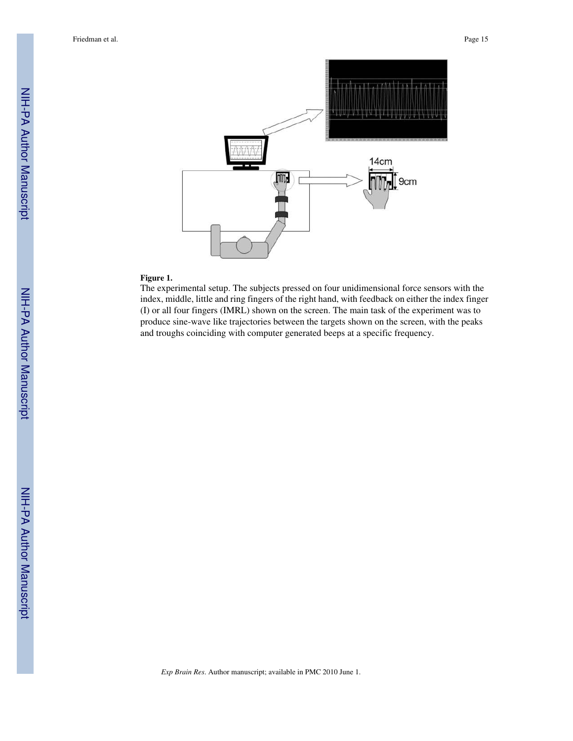

# **Figure 1.**

The experimental setup. The subjects pressed on four unidimensional force sensors with the index, middle, little and ring fingers of the right hand, with feedback on either the index finger (I) or all four fingers (IMRL) shown on the screen. The main task of the experiment was to produce sine-wave like trajectories between the targets shown on the screen, with the peaks and troughs coinciding with computer generated beeps at a specific frequency.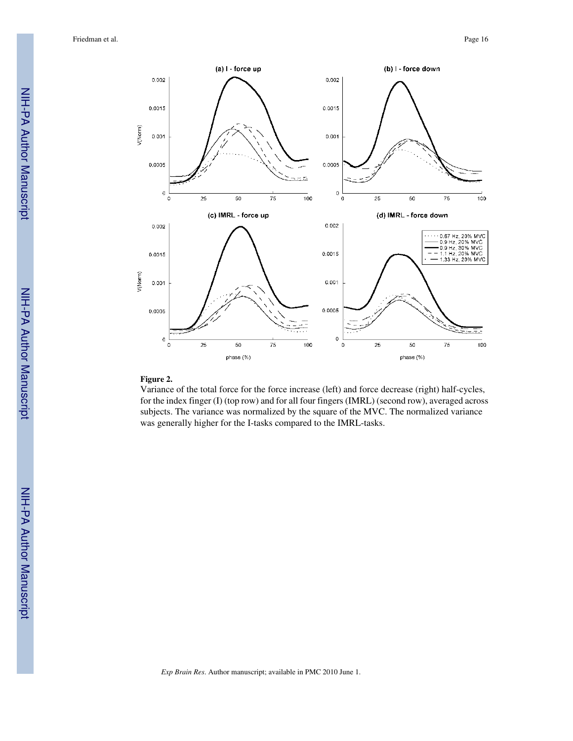

#### **Figure 2.**

Variance of the total force for the force increase (left) and force decrease (right) half-cycles, for the index finger (I) (top row) and for all four fingers (IMRL) (second row), averaged across subjects. The variance was normalized by the square of the MVC. The normalized variance was generally higher for the I-tasks compared to the IMRL-tasks.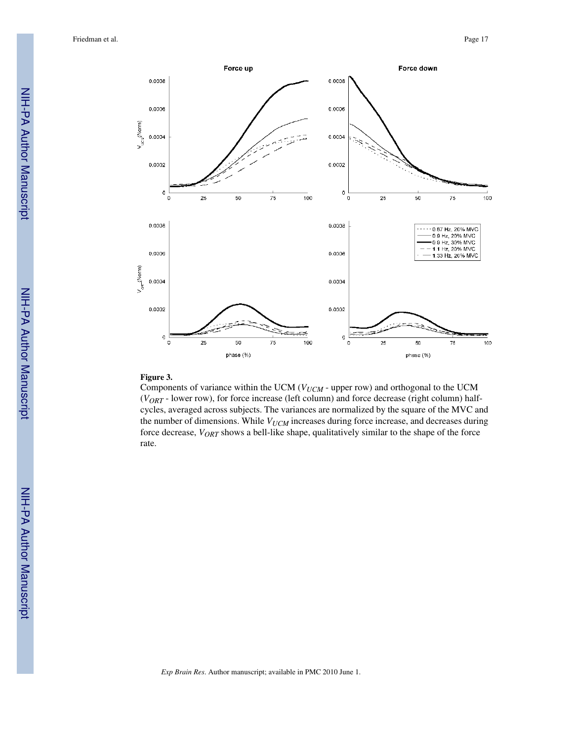

#### **Figure 3.**

Components of variance within the UCM (*VUCM* - upper row) and orthogonal to the UCM (*VORT* - lower row), for force increase (left column) and force decrease (right column) halfcycles, averaged across subjects. The variances are normalized by the square of the MVC and the number of dimensions. While  $V_{UCM}$  increases during force increase, and decreases during force decrease, *VORT* shows a bell-like shape, qualitatively similar to the shape of the force rate.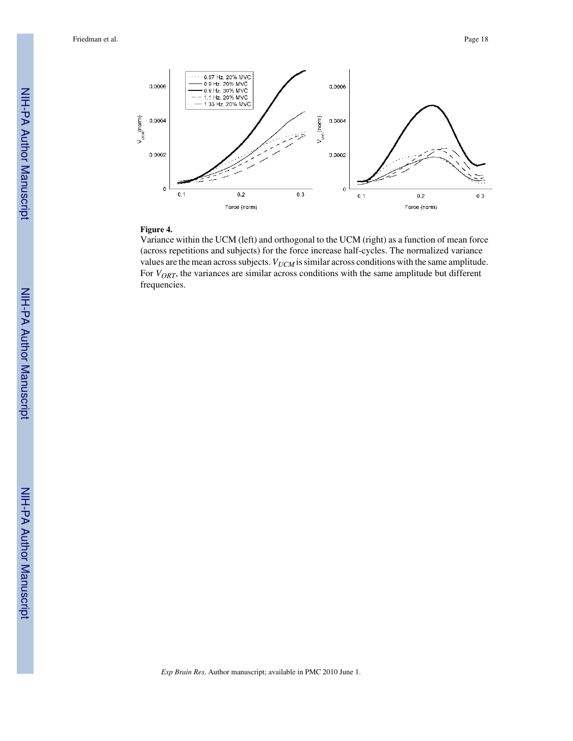

#### **Figure 4.**

Variance within the UCM (left) and orthogonal to the UCM (right) as a function of mean force (across repetitions and subjects) for the force increase half-cycles. The normalized variance values are the mean across subjects. *VUCM* is similar across conditions with the same amplitude. For *VORT*, the variances are similar across conditions with the same amplitude but different frequencies.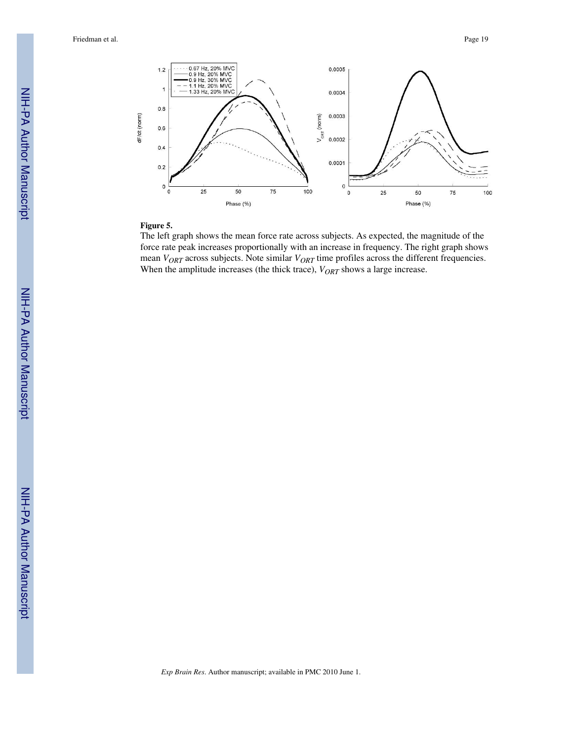

#### **Figure 5.**

The left graph shows the mean force rate across subjects. As expected, the magnitude of the force rate peak increases proportionally with an increase in frequency. The right graph shows mean *VORT* across subjects. Note similar *VORT* time profiles across the different frequencies. When the amplitude increases (the thick trace), *VORT* shows a large increase.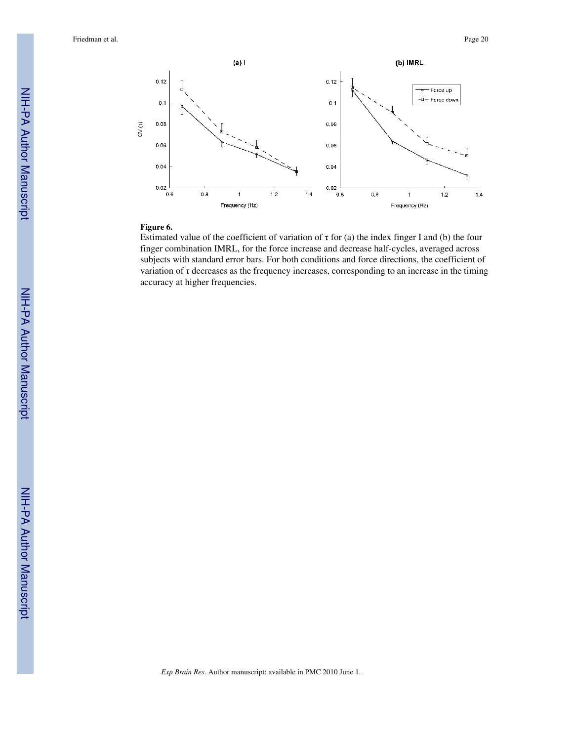

#### **Figure 6.**

Estimated value of the coefficient of variation of  $\tau$  for (a) the index finger I and (b) the four finger combination IMRL, for the force increase and decrease half-cycles, averaged across subjects with standard error bars. For both conditions and force directions, the coefficient of variation of  $\tau$  decreases as the frequency increases, corresponding to an increase in the timing accuracy at higher frequencies.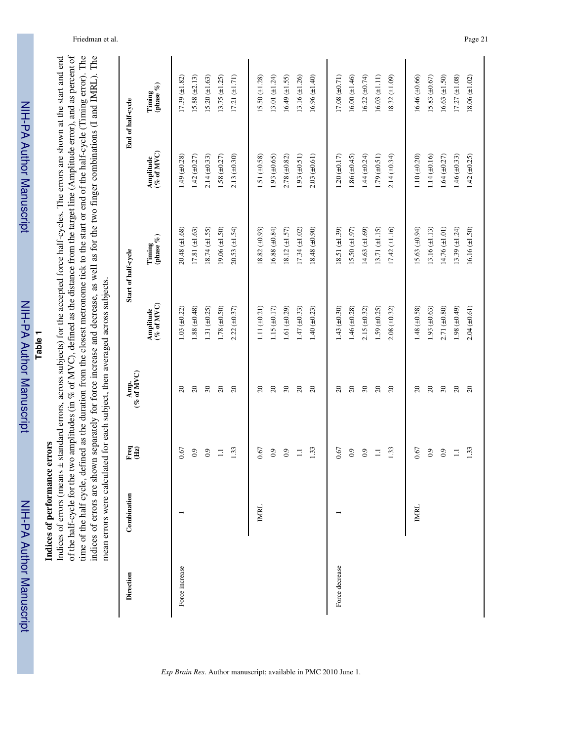| l                                                                   |
|---------------------------------------------------------------------|
|                                                                     |
|                                                                     |
|                                                                     |
|                                                                     |
|                                                                     |
|                                                                     |
|                                                                     |
|                                                                     |
|                                                                     |
|                                                                     |
|                                                                     |
|                                                                     |
|                                                                     |
|                                                                     |
|                                                                     |
|                                                                     |
| <b>Ollin</b>                                                        |
|                                                                     |
|                                                                     |
|                                                                     |
|                                                                     |
|                                                                     |
|                                                                     |
|                                                                     |
|                                                                     |
| ֦֧֦֧֦֧֦֦֧֦֧֦֧֦֧֦֧֧֦֧֧֧֧֧֦֧֦֧֦֧֦֧֧֪֦֧֞֘֝֝֝֝֝֬֝֝֬֝֬֝֓֝֓֟֓֓֓֓֝֬֝֬֝֬֓֝֬ |
|                                                                     |
|                                                                     |
|                                                                     |
|                                                                     |
|                                                                     |
|                                                                     |
|                                                                     |
|                                                                     |
|                                                                     |
| ċ                                                                   |
|                                                                     |
|                                                                     |
| ì                                                                   |
|                                                                     |
|                                                                     |
|                                                                     |
|                                                                     |

**Table 1**

# Indices of performance errors **Indices of performance errors**

Indices of errors (means ± standard errors, across subjects) for the accepted force half-cycles. The errors are shown at the start and end of the half-cycle for the two amplitudes (in % of MVC), defined as the distance from the target line (Amplitude error), and as percent of time of the half cycle, defined as the duration from the closest metronome tick to the start or end of the half-cycle (Timing error). The indices of errors are shown separately for force increase and decrease, as well as for the two finger combinations (1 and IMRL). The Indices of errors (means ± standard errors, across subjects) for the accepted force half-cycles. The errors are shown at the start and end of the half-cycle for the two amplitudes (in % of MVC), defined as the distance from the target line (Amplitude error), and as percent of time of the half cycle, defined as the duration from the closest metronome tick to the start or end of the half-cycle (Timing error). The indices of errors are shown separately for force increase and decrease, as well as for the two finger combinations (I and IMRL). The mean errors were calculated for each subject, then averaged across subjects.

|                | Combination | $\widetilde{\text{HEQ}}$ | $\begin{array}{c}\n\text{Amp.} \\ \text{(% of MVC)}\n\end{array}$ |                                                    | Start of half-cycle                                                   |                                         | End of half-cycle    |
|----------------|-------------|--------------------------|-------------------------------------------------------------------|----------------------------------------------------|-----------------------------------------------------------------------|-----------------------------------------|----------------------|
|                |             |                          |                                                                   | ${\large \bf Amplitude} \atop (\% {\rm of\, MVC})$ | $\begin{array}{l} \textbf{Timing} \\ \textbf{(phase \%)} \end{array}$ | ${\large \bf Amplitude} \\ (\%~of~MVC)$ | Timing $(phase \%)$  |
| Force increase |             | 0.67                     | $\overline{c}$                                                    | $1.03 \ (\pm 0.22)$                                | $20.48 (\pm 1.68)$                                                    | 1.49 ( $\pm$ 0.28)                      | $17.39 (\pm 1.82)$   |
|                |             | 0.9                      | $\overline{c}$                                                    | $1.88 (\pm 0.48)$                                  | $17.81 (\pm 1.63)$                                                    | $1.42 (\pm 0.27)$                       | $15.88 \ (\pm 2.13)$ |
|                |             | 0.9                      | $30\,$                                                            | $1.31 (\pm 0.25)$                                  | $18.74 (\pm 1.55)$                                                    | $2.14 \ (\pm 0.33)$                     | $15.20 (\pm 1.63)$   |
|                |             | $\Xi$                    | $\overline{c}$                                                    | $(.78 (\pm 0.50))$                                 | $(9.06 \pm 1.50)$                                                     | $1.58 (\pm 0.27)$                       | $(3.75 (\pm 1.25)$   |
|                |             | 1.33                     | $\Omega$                                                          | $2.22 (\pm 0.37)$                                  | $20.53 (\pm 1.54)$                                                    | $2.13 (\pm 0.30)$                       | $17.21 (\pm 1.71)$   |
|                | <b>INRL</b> | 0.67                     | $\overline{c}$                                                    | $1.11 (\pm 0.21)$                                  | $18.82 \ (\pm 0.93)$                                                  | $1.51 (\pm 0.58)$                       | $15.50 (\pm 1.28)$   |
|                |             | 0.9                      | $\overline{c}$                                                    | 1.15 ( $\pm$ 0.17)                                 | $16.88 \ (\pm 0.84)$                                                  | $1.93 \ (\pm 0.65)$                     | 13.01 $(\pm 1.24)$   |
|                |             | 0.9                      | $30\,$                                                            | $1.61 (\pm 0.29)$                                  | $(8.12 (\pm 1.57))$                                                   | $2.78 \ (\pm 0.82)$                     | $16.49 (\pm 1.55)$   |
|                |             | $\Xi$                    | $\Omega$                                                          | $1.47 (\pm 0.33)$                                  | $17.34 (\pm 1.02)$                                                    | 1.93 $(\pm 0.51)$                       | $13.16 (\pm 1.26)$   |
|                |             | 1.33                     | $\Omega$                                                          | $1.40 (\pm 0.23)$                                  | $18.48 \ (\pm 0.90)$                                                  | $2.03 (\pm 0.61)$                       | $16.96 (\pm 1.40)$   |
| Force decrease |             | 0.67                     | $\overline{c}$                                                    | $1.43 \ (\pm 0.30)$                                | $18.51 (\pm 1.39)$                                                    | $1.20 (\pm 0.17)$                       | $(7.08 \pm 0.71)$    |
|                |             | $_{0.9}$                 | $\overline{c}$                                                    | $1.46 (\pm 0.28)$                                  | $(5.50 (\pm 1.97))$                                                   | $(.86 (\pm 0.45))$                      | $16.00 (\pm 1.46)$   |
|                |             | 0.9                      | $30\,$                                                            | $2.15 (\pm 0.32)$                                  | $14.63 (\pm 1.69)$                                                    | $1.44 (\pm 0.24)$                       | $16.22 (\pm 0.74)$   |
|                |             | $\Xi$                    | $\Omega$                                                          | $1.59 (\pm 0.25)$                                  | $13.71 (\pm 1.15)$                                                    | $1.79 (\pm 0.51)$                       | $16.03 (\pm 1.11)$   |
|                |             | 1.33                     | $\Omega$                                                          | $2.08 (\pm 0.32)$                                  | $17.42 (\pm 1.16)$                                                    | $2.14 (\pm 0.34)$                       | $18.32 (\pm 1.09)$   |
|                | <b>IMRL</b> | 0.67                     | $\Omega$                                                          | $1.48 \ (\pm 0.58)$                                | $15.63 \ (\pm 0.94)$                                                  | $1.10 (\pm 0.20)$                       | $16.46 (\pm 0.66)$   |
|                |             | 0.9                      | $\overline{c}$                                                    | $.93 \ (\pm 0.63)$                                 | $13.16 (\pm 1.13)$                                                    | $1.14 (\pm 0.16)$                       | $15.83 \ (\pm 0.67)$ |
|                |             | $\ddot{0}$ .             | $30\,$                                                            | $2.71 (\pm 0.80)$                                  | $14.76 \ (\pm 1.01)$                                                  | $1.64 (\pm 0.27)$                       | $16.63 (\pm 1.50)$   |
|                |             | $\Xi$                    | $\overline{c}$                                                    | $(.64.04)$ 86.1                                    | $(3.39 (\pm 1.24)$                                                    | 1.46 ( $\pm$ 0.33)                      | $17.27 (\pm 1.08)$   |
|                |             | 1.33                     | 20                                                                | $2.04 (\pm 0.61)$                                  | $16.16 (\pm 1.50)$                                                    | $1.42 (\pm 0.25)$                       | $18.06 (\pm 1.02)$   |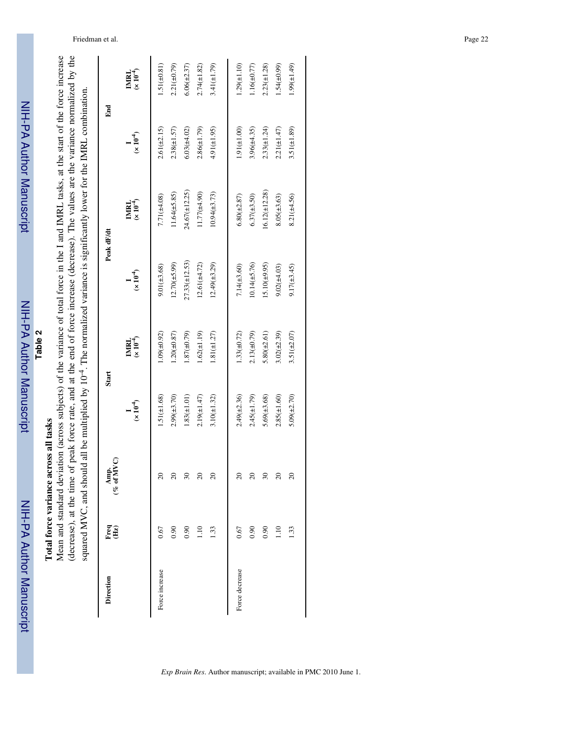NIH-PA Author Manuscript NIH-PA Author Manuscript **Table 2**

# Total force variance across all tasks **Total force variance across all tasks**

Mean and standard deviation (across subjects) of the variance of total force in the I and IMRL tasks, at the start of the force increase (decrease), at the time of peak force rate, and at the end of force increase (decrease). The values are the variance normalized by the Mean and standard deviation (across subjects) of the variance of total force in the I and IMRL tasks, at the start of the force increase (decrease), at the time of peak force rate, and at the end of force increase (decrease). The values are the variance normalized by the squared MVC, and should all be multiplied by 10<sup>-4</sup>. The normalized variance is significantly lower for the IMRL combination. congred MVC and should all be multiplied by  $10^{-4}$ . The normalized variance is significantly lower for the IMRI, combination

|                |              |                                          |                  |                                                                   |                    | менен мих С чип михайны ок напринять и так и с так и с так и с так и с так и с так и с только по так и с так и |                    |                                                                    |
|----------------|--------------|------------------------------------------|------------------|-------------------------------------------------------------------|--------------------|----------------------------------------------------------------------------------------------------------------|--------------------|--------------------------------------------------------------------|
| Direction      | Freq<br>(Hz) | $\frac{\text{Amp.}}{(% \text{ of MVC})}$ | Start            |                                                                   |                    | Peak dF/dt                                                                                                     | End                |                                                                    |
|                |              |                                          | $(\times\,10^4)$ | $\begin{array}{c} \textbf{IMRL} \\ (\times\,10^{-4}) \end{array}$ | $(\times\,10^4)$   | $\frac{\rm IMRL}{\rm (10^{-4})}$                                                                               | $(\times 10^{-4})$ | $\begin{array}{c} \textbf{IMRL} \\ \times \textbf{10} \end{array}$ |
| Force increase | 0.67         | $\approx$                                | $1.51(\pm 1.68)$ | $1.09(\pm 0.92)$                                                  | $9.01(\pm3.68)$    | $7.71(\pm4.08)$                                                                                                | $2.61(\pm 2.15)$   | $1.51(\pm 0.81)$                                                   |
|                | 0.90         | $\approx$                                | $2.99(\pm 3.70)$ | $1.20(\pm 0.87)$                                                  | $12.70(\pm 5.99)$  | $11.64(\pm 5.85)$                                                                                              | $2.38(\pm 1.57)$   | $2.21(\pm 0.79)$                                                   |
|                | 0.90         | $\approx$                                | $1.83(\pm 1.01)$ | $1.87(\pm 0.79)$                                                  | $27.33(\pm 12.53)$ | 24.67(±12.25)                                                                                                  | $6.03(\pm4.02)$    | $6.06(\pm2.37)$                                                    |
|                | 1.10         | $\approx$                                | $2.19(\pm 1.47)$ | $1.62(\pm1.19)$                                                   | $12.61(\pm 4.72)$  | $11.77(\pm 4.90)$                                                                                              | $2.86(\pm 1.79)$   | $2.74(\pm 1.82)$                                                   |
|                | 1.33         | $\approx$                                | $3.10(\pm 1.32)$ | $1.81(\pm 1.27)$                                                  | $12.49(\pm3.29)$   | $10.94(\pm 3.73)$                                                                                              | $4.91(\pm1.95)$    | $3.41(\pm 1.79)$                                                   |
| Force decrease | 0.67         | $\approx$                                | $2.49(\pm2.36)$  | $1.33(\pm 0.72)$                                                  | $7.14(\pm3.60)$    | $6.80(\pm 2.87)$                                                                                               | $1.91(\pm 1.00)$   | $1.29(\pm 1.10)$                                                   |
|                | 0.90         | $\approx$                                | $2.45(\pm 1.79)$ | $2.13(\pm 0.79)$                                                  | $10.14(\pm 5.76)$  | $6.37(\pm 3.50)$                                                                                               | $3.96(\pm 4.35)$   | $1.16(\pm 0.77)$                                                   |
|                | 0.90         | $\approx$                                | $5.69(\pm3.68)$  | $5.80(\pm2.61)$                                                   | $15.10(\pm 9.95)$  | $16.12(\pm 12.28)$                                                                                             | $2.33(\pm 1.24)$   | $2.23(\pm 1.28)$                                                   |
|                | 1.10         | $\approx$                                | $2.85(\pm1.60)$  | $3.02(\pm 2.39)$                                                  | $9.02(\pm4.03)$    | $8.05(\pm 3.63)$                                                                                               | $2.21(\pm 1.47)$   | $.54(\pm 0.99)$                                                    |
|                | 1.33         | $\approx$                                | $5.09(\pm2.70)$  | $3.51(\pm2.07)$                                                   | $9.17(\pm3.45)$    | $8.21(\pm4.56)$                                                                                                | $3.51(\pm 1.89)$   | $1.99(\pm1.49)$                                                    |
|                |              |                                          |                  |                                                                   |                    |                                                                                                                |                    |                                                                    |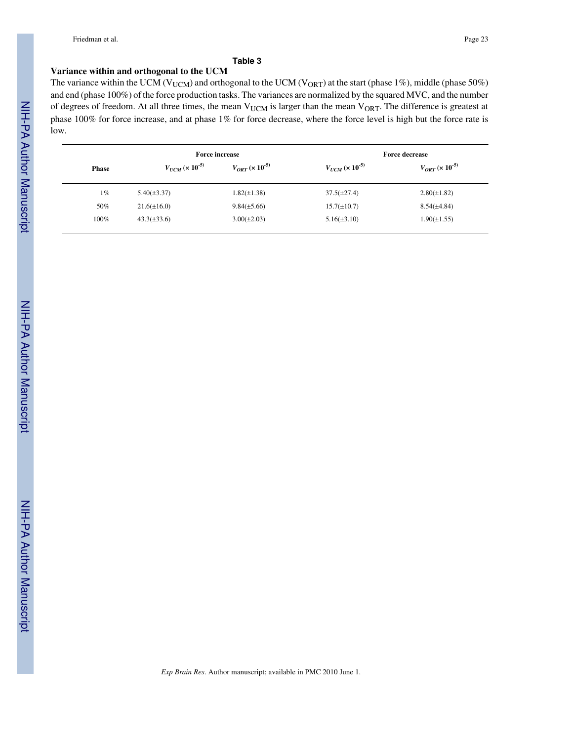# **Table 3**

# **Variance within and orthogonal to the UCM**

The variance within the UCM (V<sub>UCM</sub>) and orthogonal to the UCM (V<sub>ORT</sub>) at the start (phase 1%), middle (phase 50%) and end (phase 100%) of the force production tasks. The variances are normalized by the squared MVC, and the number of degrees of freedom. At all three times, the mean  $V_{UCM}$  is larger than the mean  $V_{ORT}$ . The difference is greatest at phase 100% for force increase, and at phase 1% for force decrease, where the force level is high but the force rate is low.

|              | <b>Force increase</b>    |                          |                          | <b>Force decrease</b>    |
|--------------|--------------------------|--------------------------|--------------------------|--------------------------|
| <b>Phase</b> | $V_{UCM}$ (x $10^{-5}$ ) | $V_{ORT}$ (x $10^{-5}$ ) | $V_{UCM}$ (x $10^{-5}$ ) | $V_{ORT}$ (x $10^{-5}$ ) |
| 1%           | $5.40(\pm 3.37)$         | $1.82(\pm 1.38)$         | $37.5(\pm 27.4)$         | $2.80(\pm 1.82)$         |
| 50%          | $21.6(\pm 16.0)$         | $9.84(\pm 5.66)$         | $15.7(\pm 10.7)$         | $8.54(\pm 4.84)$         |
| 100%         | $43.3(\pm 33.6)$         | $3.00(\pm2.03)$          | $5.16(\pm 3.10)$         | $1.90(\pm 1.55)$         |

 $\overline{\phantom{0}}$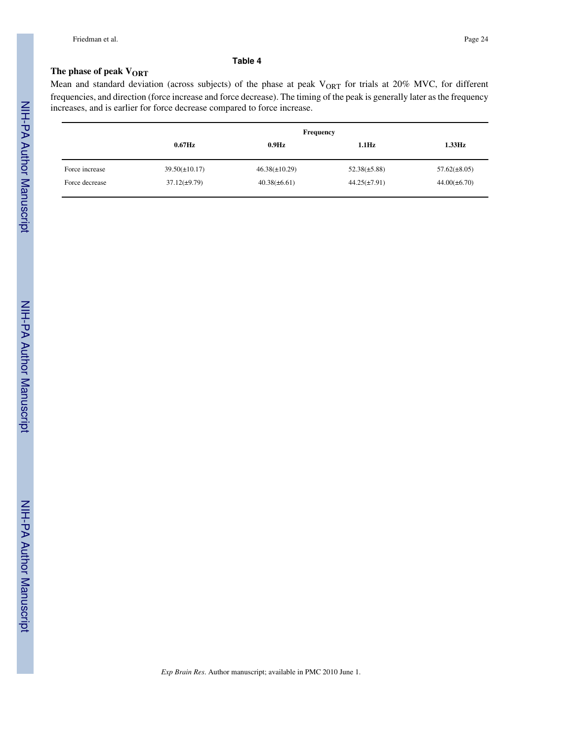#### **Table 4**

# **The phase of peak VORT**

Mean and standard deviation (across subjects) of the phase at peak V<sub>ORT</sub> for trials at 20% MVC, for different frequencies, and direction (force increase and force decrease). The timing of the peak is generally later as the frequency increases, and is earlier for force decrease compared to force increase.

|                |                    | <b>Frequency</b>   |                   |                   |
|----------------|--------------------|--------------------|-------------------|-------------------|
|                | $0.67$ Hz          | $0.9\mathrm{Hz}$   | $1.1\mathrm{Hz}$  | $1.33\mathrm{Hz}$ |
| Force increase | $39.50(\pm 10.17)$ | $46.38(\pm 10.29)$ | $52.38(\pm 5.88)$ | $57.62(\pm 8.05)$ |
| Force decrease | $37.12(\pm 9.79)$  | $40.38(\pm 6.61)$  | $44.25(\pm 7.91)$ | $44.00(\pm 6.70)$ |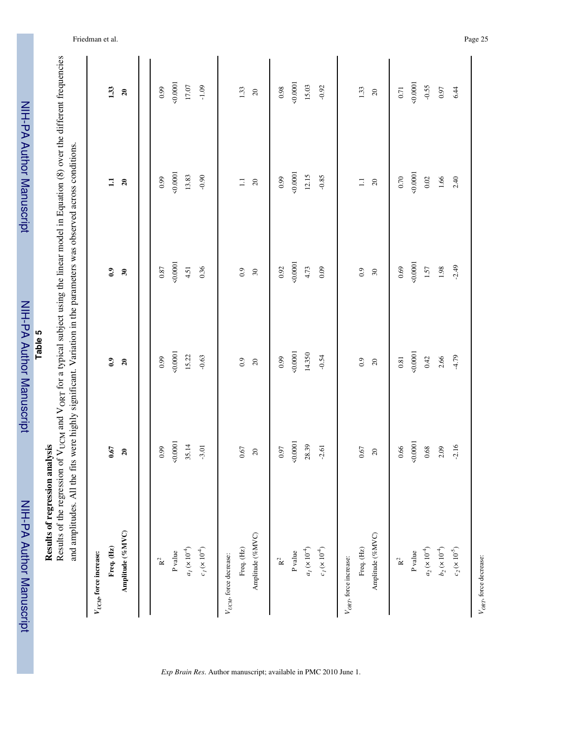NIH-PA Author Manuscript NIH-PA Author Manuscript **Results of regression analysis**

Table 5<br>Results of regression analysis<br>Results of the regression of V<sub>UCM</sub> and V<sub>ORT</sub> for a typical subject using the linear model in Equation (8) over the different frequencies NIH-PA Author ManuscriptNIH-PA Author Manuscript

Results of the regression of  $V_{\text{UCM}}$  and  $V_{\text{OKT}}$  for a typical subject using the linear model in Equation (8) over the different frequencies

| 0.0001<br>0.0001<br>0.0001<br>17.07<br>15.03<br>$-0.55$<br>$-1.09$<br>$-0.92$<br>$1.33\,$<br>1.33<br>0.98<br>1.33<br>0.71<br>$0.97$<br>0.99<br>6.44<br>$\boldsymbol{\mathcal{Z}}$<br>$20\,$<br>$20\,$<br>0.0001<br>0.0001<br>0.0001<br>13.83<br>$12.15$<br>$-0.90$<br>$-0.85$<br>0.70<br>1.66<br>$0.02\,$<br>0.99<br>0.99<br>2.40<br>$\boldsymbol{\mathcal{Z}}$<br>$20\,$<br>$\Xi$<br>$20\,$<br>$\Xi$<br>$\Xi$<br>0.0001<br>50,0001<br>0.0001<br>$-2.49$<br>4.73<br>0.69<br>0.36<br>0.92<br>$1.98\,$<br>4.51<br>0.09<br>$1.57\,$<br>$0.87\,$<br>$_{0.9}$<br>$\mathbf{0.9}$<br>$_{0.9}$<br>$\boldsymbol{\mathfrak{F}}$<br>$30\,$<br>$30\,$<br>0.0001<br>50,0001<br>50,0001<br>14.350<br>15.22<br>2.66<br>4.79<br>$-0.63$<br>$-0.54$<br>0.42<br>0.99<br>$\!0.81\!$<br>0.99<br>$\mathbf{0.9}$<br>$_{0.9}$<br>0.9<br>$\boldsymbol{\mathfrak{a}}$<br>$20\,$<br>$20\,$<br>50,0001<br>0.0001<br>50,0001<br>35.14<br>28.39<br>0.66<br>$-2.16$<br>0.68<br>2.09<br>$-3.01$<br>$0.67\,$<br>$-2.61$<br>0.67<br>0.99<br>0.97<br>$0.67\,$<br>20<br>$\boldsymbol{\mathcal{Z}}$<br>$20\,$<br>Amplitude (%MVC)<br>Amplitude (%MVC)<br>Amplitude (%MVC)<br>Freq. (Hz)<br>$a_I\ (\times\ 10^4)$<br>Freq. (Hz)<br>$a_{I}\,(\times\,10^{\text{-4}})$<br>Freq. (Hz)<br>$a_2 \, (\times \, 10^{\text{-4}})$<br>$c_I\,(\times\,10^4)$<br>$c_I\,(\times\,10^4)$<br>$b_2 \, (\times \, 10^{\text{-4}})$<br>P value<br>P value<br>P value<br>$V_{UCM}$ , force decrease:<br>$V_{\rm ORT}$ force increase:<br>$\mathbf{\hat{R}}^2$<br>$\mathbf{\hat{R}}^2$<br>$\mathbf{\hat{R}}^2$ | $V_{\ensuremath{UCM}}$ force increase: |  |  |  |
|--------------------------------------------------------------------------------------------------------------------------------------------------------------------------------------------------------------------------------------------------------------------------------------------------------------------------------------------------------------------------------------------------------------------------------------------------------------------------------------------------------------------------------------------------------------------------------------------------------------------------------------------------------------------------------------------------------------------------------------------------------------------------------------------------------------------------------------------------------------------------------------------------------------------------------------------------------------------------------------------------------------------------------------------------------------------------------------------------------------------------------------------------------------------------------------------------------------------------------------------------------------------------------------------------------------------------------------------------------------------------------------------------------------------------------------------------------------------------------------------------------------------------------------------------------|----------------------------------------|--|--|--|
|                                                                                                                                                                                                                                                                                                                                                                                                                                                                                                                                                                                                                                                                                                                                                                                                                                                                                                                                                                                                                                                                                                                                                                                                                                                                                                                                                                                                                                                                                                                                                        |                                        |  |  |  |
|                                                                                                                                                                                                                                                                                                                                                                                                                                                                                                                                                                                                                                                                                                                                                                                                                                                                                                                                                                                                                                                                                                                                                                                                                                                                                                                                                                                                                                                                                                                                                        |                                        |  |  |  |
|                                                                                                                                                                                                                                                                                                                                                                                                                                                                                                                                                                                                                                                                                                                                                                                                                                                                                                                                                                                                                                                                                                                                                                                                                                                                                                                                                                                                                                                                                                                                                        |                                        |  |  |  |
|                                                                                                                                                                                                                                                                                                                                                                                                                                                                                                                                                                                                                                                                                                                                                                                                                                                                                                                                                                                                                                                                                                                                                                                                                                                                                                                                                                                                                                                                                                                                                        |                                        |  |  |  |
|                                                                                                                                                                                                                                                                                                                                                                                                                                                                                                                                                                                                                                                                                                                                                                                                                                                                                                                                                                                                                                                                                                                                                                                                                                                                                                                                                                                                                                                                                                                                                        |                                        |  |  |  |
|                                                                                                                                                                                                                                                                                                                                                                                                                                                                                                                                                                                                                                                                                                                                                                                                                                                                                                                                                                                                                                                                                                                                                                                                                                                                                                                                                                                                                                                                                                                                                        |                                        |  |  |  |
|                                                                                                                                                                                                                                                                                                                                                                                                                                                                                                                                                                                                                                                                                                                                                                                                                                                                                                                                                                                                                                                                                                                                                                                                                                                                                                                                                                                                                                                                                                                                                        |                                        |  |  |  |
|                                                                                                                                                                                                                                                                                                                                                                                                                                                                                                                                                                                                                                                                                                                                                                                                                                                                                                                                                                                                                                                                                                                                                                                                                                                                                                                                                                                                                                                                                                                                                        |                                        |  |  |  |
|                                                                                                                                                                                                                                                                                                                                                                                                                                                                                                                                                                                                                                                                                                                                                                                                                                                                                                                                                                                                                                                                                                                                                                                                                                                                                                                                                                                                                                                                                                                                                        |                                        |  |  |  |
|                                                                                                                                                                                                                                                                                                                                                                                                                                                                                                                                                                                                                                                                                                                                                                                                                                                                                                                                                                                                                                                                                                                                                                                                                                                                                                                                                                                                                                                                                                                                                        |                                        |  |  |  |
|                                                                                                                                                                                                                                                                                                                                                                                                                                                                                                                                                                                                                                                                                                                                                                                                                                                                                                                                                                                                                                                                                                                                                                                                                                                                                                                                                                                                                                                                                                                                                        |                                        |  |  |  |
|                                                                                                                                                                                                                                                                                                                                                                                                                                                                                                                                                                                                                                                                                                                                                                                                                                                                                                                                                                                                                                                                                                                                                                                                                                                                                                                                                                                                                                                                                                                                                        |                                        |  |  |  |
|                                                                                                                                                                                                                                                                                                                                                                                                                                                                                                                                                                                                                                                                                                                                                                                                                                                                                                                                                                                                                                                                                                                                                                                                                                                                                                                                                                                                                                                                                                                                                        |                                        |  |  |  |
|                                                                                                                                                                                                                                                                                                                                                                                                                                                                                                                                                                                                                                                                                                                                                                                                                                                                                                                                                                                                                                                                                                                                                                                                                                                                                                                                                                                                                                                                                                                                                        |                                        |  |  |  |
|                                                                                                                                                                                                                                                                                                                                                                                                                                                                                                                                                                                                                                                                                                                                                                                                                                                                                                                                                                                                                                                                                                                                                                                                                                                                                                                                                                                                                                                                                                                                                        |                                        |  |  |  |
|                                                                                                                                                                                                                                                                                                                                                                                                                                                                                                                                                                                                                                                                                                                                                                                                                                                                                                                                                                                                                                                                                                                                                                                                                                                                                                                                                                                                                                                                                                                                                        |                                        |  |  |  |
|                                                                                                                                                                                                                                                                                                                                                                                                                                                                                                                                                                                                                                                                                                                                                                                                                                                                                                                                                                                                                                                                                                                                                                                                                                                                                                                                                                                                                                                                                                                                                        |                                        |  |  |  |
|                                                                                                                                                                                                                                                                                                                                                                                                                                                                                                                                                                                                                                                                                                                                                                                                                                                                                                                                                                                                                                                                                                                                                                                                                                                                                                                                                                                                                                                                                                                                                        |                                        |  |  |  |
|                                                                                                                                                                                                                                                                                                                                                                                                                                                                                                                                                                                                                                                                                                                                                                                                                                                                                                                                                                                                                                                                                                                                                                                                                                                                                                                                                                                                                                                                                                                                                        |                                        |  |  |  |
|                                                                                                                                                                                                                                                                                                                                                                                                                                                                                                                                                                                                                                                                                                                                                                                                                                                                                                                                                                                                                                                                                                                                                                                                                                                                                                                                                                                                                                                                                                                                                        |                                        |  |  |  |
|                                                                                                                                                                                                                                                                                                                                                                                                                                                                                                                                                                                                                                                                                                                                                                                                                                                                                                                                                                                                                                                                                                                                                                                                                                                                                                                                                                                                                                                                                                                                                        |                                        |  |  |  |
|                                                                                                                                                                                                                                                                                                                                                                                                                                                                                                                                                                                                                                                                                                                                                                                                                                                                                                                                                                                                                                                                                                                                                                                                                                                                                                                                                                                                                                                                                                                                                        | $c_2 \, (\times \, 10^{-5})$           |  |  |  |

Friedman et al. Page 25

*VORT*, force decrease:

 $V_{ORP}$  force decrease: